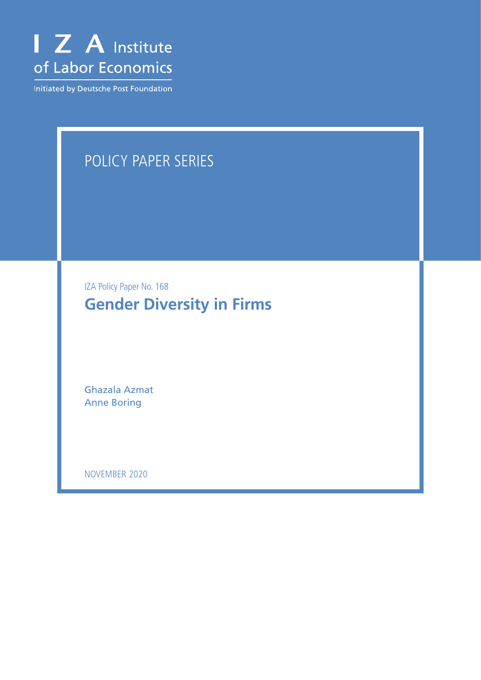

Initiated by Deutsche Post Foundation

## POLICY PAPER SERIES

IZA Policy Paper No. 168 **Gender Diversity in Firms**

Ghazala Azmat Anne Boring

NOVEMBER 2020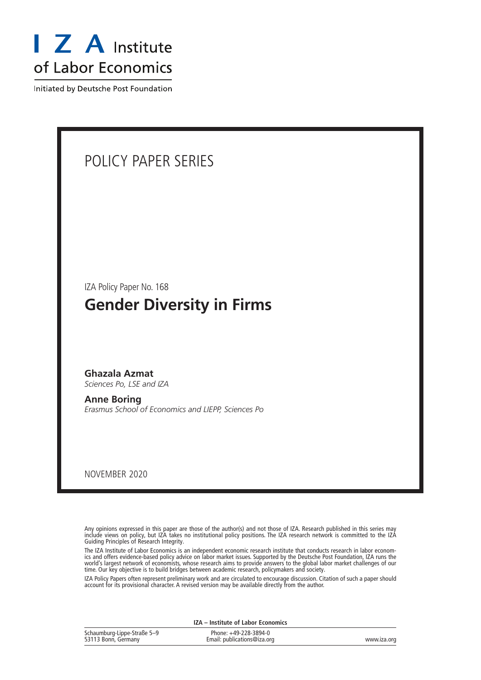

Initiated by Deutsche Post Foundation



Any opinions expressed in this paper are those of the author(s) and not those of IZA. Research published in this series may include views on policy, but IZA takes no institutional policy positions. The IZA research network is committed to the IZA Guiding Principles of Research Integrity.

The IZA Institute of Labor Economics is an independent economic research institute that conducts research in labor economics and offers evidence-based policy advice on labor market issues. Supported by the Deutsche Post Foundation, IZA runs the world's largest network of economists, whose research aims to provide answers to the global labor market challenges of our time. Our key objective is to build bridges between academic research, policymakers and society.

IZA Policy Papers often represent preliminary work and are circulated to encourage discussion. Citation of such a paper should account for its provisional character. A revised version may be available directly from the author.

| IZA - Institute of Labor Economics                 |                                                      |             |  |  |
|----------------------------------------------------|------------------------------------------------------|-------------|--|--|
| Schaumburg-Lippe-Straße 5–9<br>53113 Bonn, Germany | Phone: +49-228-3894-0<br>Email: publications@iza.org | www.iza.org |  |  |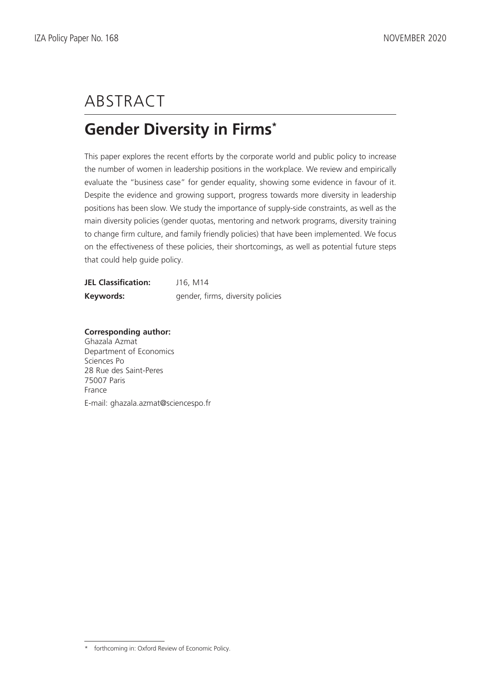# ABSTRACT

## **Gender Diversity in Firms\***

This paper explores the recent efforts by the corporate world and public policy to increase the number of women in leadership positions in the workplace. We review and empirically evaluate the "business case" for gender equality, showing some evidence in favour of it. Despite the evidence and growing support, progress towards more diversity in leadership positions has been slow. We study the importance of supply-side constraints, as well as the main diversity policies (gender quotas, mentoring and network programs, diversity training to change firm culture, and family friendly policies) that have been implemented. We focus on the effectiveness of these policies, their shortcomings, as well as potential future steps that could help guide policy.

| <b>JEL Classification:</b> | J16, M14                          |
|----------------------------|-----------------------------------|
| Keywords:                  | gender, firms, diversity policies |

**Corresponding author:** Ghazala Azmat Department of Economics Sciences Po 28 Rue des Saint-Peres 75007 Paris France E-mail: ghazala.azmat@sciencespo.fr

<sup>\*</sup> forthcoming in: Oxford Review of Economic Policy.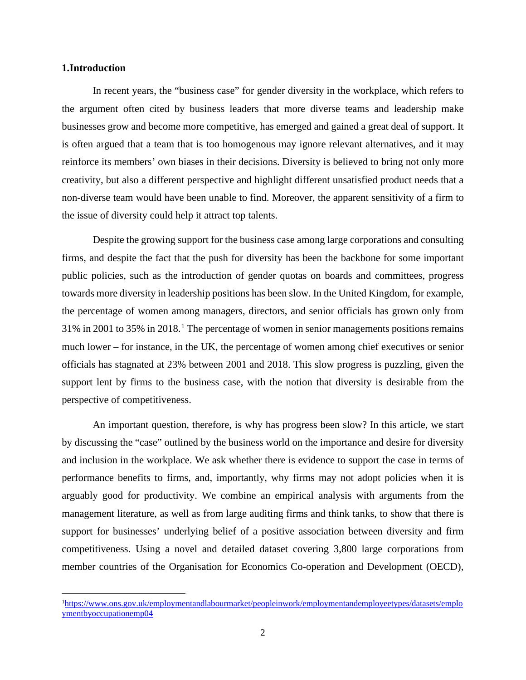#### **1.Introduction**

In recent years, the "business case" for gender diversity in the workplace, which refers to the argument often cited by business leaders that more diverse teams and leadership make businesses grow and become more competitive, has emerged and gained a great deal of support. It is often argued that a team that is too homogenous may ignore relevant alternatives, and it may reinforce its members' own biases in their decisions. Diversity is believed to bring not only more creativity, but also a different perspective and highlight different unsatisfied product needs that a non-diverse team would have been unable to find. Moreover, the apparent sensitivity of a firm to the issue of diversity could help it attract top talents.

Despite the growing support for the business case among large corporations and consulting firms, and despite the fact that the push for diversity has been the backbone for some important public policies, such as the introduction of gender quotas on boards and committees, progress towards more diversity in leadership positions has been slow. In the United Kingdom, for example, the percentage of women among managers, directors, and senior officials has grown only from 31% in 2001 to 35% in 2018.[1](#page-3-0) The percentage of women in senior managements positions remains much lower – for instance, in the UK, the percentage of women among chief executives or senior officials has stagnated at 23% between 2001 and 2018. This slow progress is puzzling, given the support lent by firms to the business case, with the notion that diversity is desirable from the perspective of competitiveness.

An important question, therefore, is why has progress been slow? In this article, we start by discussing the "case" outlined by the business world on the importance and desire for diversity and inclusion in the workplace. We ask whether there is evidence to support the case in terms of performance benefits to firms, and, importantly, why firms may not adopt policies when it is arguably good for productivity. We combine an empirical analysis with arguments from the management literature, as well as from large auditing firms and think tanks, to show that there is support for businesses' underlying belief of a positive association between diversity and firm competitiveness. Using a novel and detailed dataset covering 3,800 large corporations from member countries of the Organisation for Economics Co-operation and Development (OECD),

<span id="page-3-0"></span><sup>&</sup>lt;sup>1</sup>[https://www.ons.gov.uk/employmentandlabourmarket/peopleinwork/employmentandemployeetypes/datasets/emplo](https://www.ons.gov.uk/employmentandlabourmarket/peopleinwork/employmentandemployeetypes/datasets/employmentbyoccupationemp04) [ymentbyoccupationemp04](https://www.ons.gov.uk/employmentandlabourmarket/peopleinwork/employmentandemployeetypes/datasets/employmentbyoccupationemp04)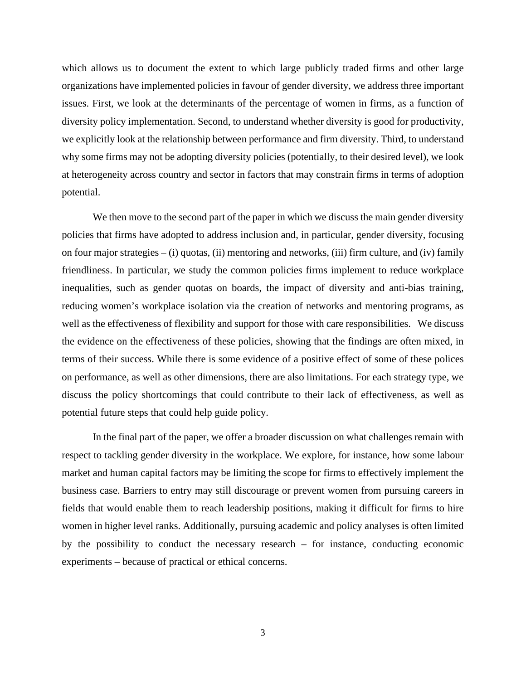which allows us to document the extent to which large publicly traded firms and other large organizations have implemented policies in favour of gender diversity, we address three important issues. First, we look at the determinants of the percentage of women in firms, as a function of diversity policy implementation. Second, to understand whether diversity is good for productivity, we explicitly look at the relationship between performance and firm diversity. Third, to understand why some firms may not be adopting diversity policies (potentially, to their desired level), we look at heterogeneity across country and sector in factors that may constrain firms in terms of adoption potential.

We then move to the second part of the paper in which we discuss the main gender diversity policies that firms have adopted to address inclusion and, in particular, gender diversity, focusing on four major strategies – (i) quotas, (ii) mentoring and networks, (iii) firm culture, and (iv) family friendliness. In particular, we study the common policies firms implement to reduce workplace inequalities, such as gender quotas on boards, the impact of diversity and anti-bias training, reducing women's workplace isolation via the creation of networks and mentoring programs, as well as the effectiveness of flexibility and support for those with care responsibilities. We discuss the evidence on the effectiveness of these policies, showing that the findings are often mixed, in terms of their success. While there is some evidence of a positive effect of some of these polices on performance, as well as other dimensions, there are also limitations. For each strategy type, we discuss the policy shortcomings that could contribute to their lack of effectiveness, as well as potential future steps that could help guide policy.

In the final part of the paper, we offer a broader discussion on what challenges remain with respect to tackling gender diversity in the workplace. We explore, for instance, how some labour market and human capital factors may be limiting the scope for firms to effectively implement the business case. Barriers to entry may still discourage or prevent women from pursuing careers in fields that would enable them to reach leadership positions, making it difficult for firms to hire women in higher level ranks. Additionally, pursuing academic and policy analyses is often limited by the possibility to conduct the necessary research – for instance, conducting economic experiments – because of practical or ethical concerns.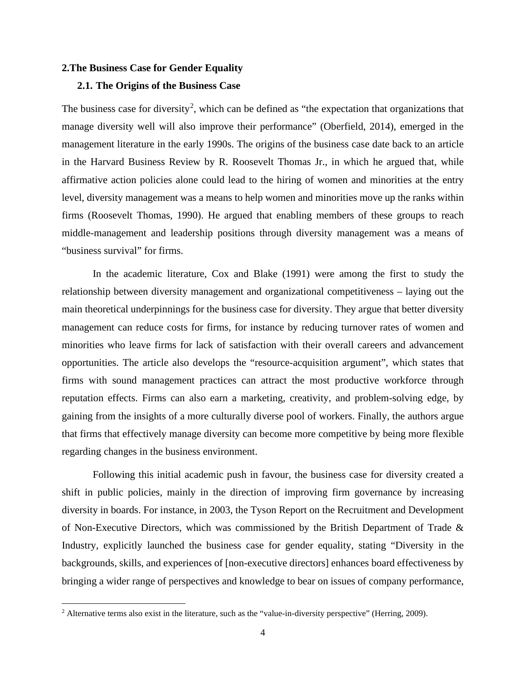#### **2.The Business Case for Gender Equality**

#### **2.1. The Origins of the Business Case**

The business case for diversity<sup>[2](#page-5-0)</sup>, which can be defined as "the expectation that organizations that manage diversity well will also improve their performance" (Oberfield, 2014), emerged in the management literature in the early 1990s. The origins of the business case date back to an article in the Harvard Business Review by R. Roosevelt Thomas Jr., in which he argued that, while affirmative action policies alone could lead to the hiring of women and minorities at the entry level, diversity management was a means to help women and minorities move up the ranks within firms (Roosevelt Thomas, 1990). He argued that enabling members of these groups to reach middle-management and leadership positions through diversity management was a means of "business survival" for firms.

In the academic literature, Cox and Blake (1991) were among the first to study the relationship between diversity management and organizational competitiveness – laying out the main theoretical underpinnings for the business case for diversity. They argue that better diversity management can reduce costs for firms, for instance by reducing turnover rates of women and minorities who leave firms for lack of satisfaction with their overall careers and advancement opportunities. The article also develops the "resource-acquisition argument", which states that firms with sound management practices can attract the most productive workforce through reputation effects. Firms can also earn a marketing, creativity, and problem-solving edge, by gaining from the insights of a more culturally diverse pool of workers. Finally, the authors argue that firms that effectively manage diversity can become more competitive by being more flexible regarding changes in the business environment.

Following this initial academic push in favour, the business case for diversity created a shift in public policies, mainly in the direction of improving firm governance by increasing diversity in boards. For instance, in 2003, the Tyson Report on the Recruitment and Development of Non-Executive Directors, which was commissioned by the British Department of Trade & Industry, explicitly launched the business case for gender equality, stating "Diversity in the backgrounds, skills, and experiences of [non-executive directors] enhances board effectiveness by bringing a wider range of perspectives and knowledge to bear on issues of company performance,

<span id="page-5-0"></span><sup>&</sup>lt;sup>2</sup> Alternative terms also exist in the literature, such as the "value-in-diversity perspective" (Herring, 2009).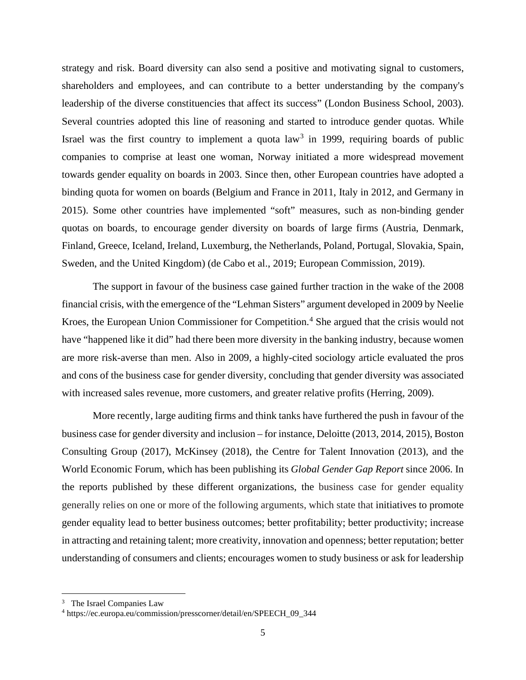strategy and risk. Board diversity can also send a positive and motivating signal to customers, shareholders and employees, and can contribute to a better understanding by the company's leadership of the diverse constituencies that affect its success" (London Business School, 2003). Several countries adopted this line of reasoning and started to introduce gender quotas. While Israel was the first country to implement a quota  $law<sup>3</sup>$  $law<sup>3</sup>$  $law<sup>3</sup>$  in 1999, requiring boards of public companies to comprise at least one woman, Norway initiated a more widespread movement towards gender equality on boards in 2003. Since then, other European countries have adopted a binding quota for women on boards (Belgium and France in 2011, Italy in 2012, and Germany in 2015). Some other countries have implemented "soft" measures, such as non-binding gender quotas on boards, to encourage gender diversity on boards of large firms (Austria, Denmark, Finland, Greece, Iceland, Ireland, Luxemburg, the Netherlands, Poland, Portugal, Slovakia, Spain, Sweden, and the United Kingdom) (de Cabo et al., 2019; European Commission, 2019).

The support in favour of the business case gained further traction in the wake of the 2008 financial crisis, with the emergence of the "Lehman Sisters" argument developed in 2009 by Neelie Kroes, the European Union Commissioner for Competition.<sup>[4](#page-6-1)</sup> She argued that the crisis would not have "happened like it did" had there been more diversity in the banking industry, because women are more risk-averse than men. Also in 2009, a highly-cited sociology article evaluated the pros and cons of the business case for gender diversity, concluding that gender diversity was associated with increased sales revenue, more customers, and greater relative profits (Herring, 2009).

More recently, large auditing firms and think tanks have furthered the push in favour of the business case for gender diversity and inclusion – for instance, Deloitte (2013, 2014, 2015), Boston Consulting Group (2017), McKinsey (2018), the Centre for Talent Innovation (2013), and the World Economic Forum, which has been publishing its *Global Gender Gap Report* since 2006. In the reports published by these different organizations, the business case for gender equality generally relies on one or more of the following arguments, which state that initiatives to promote gender equality lead to better business outcomes; better profitability; better productivity; increase in attracting and retaining talent; more creativity, innovation and openness; better reputation; better understanding of consumers and clients; encourages women to study business or ask for leadership

<span id="page-6-0"></span><sup>&</sup>lt;sup>3</sup> The Israel Companies Law

<span id="page-6-1"></span><sup>4</sup> https://ec.europa.eu/commission/presscorner/detail/en/SPEECH\_09\_344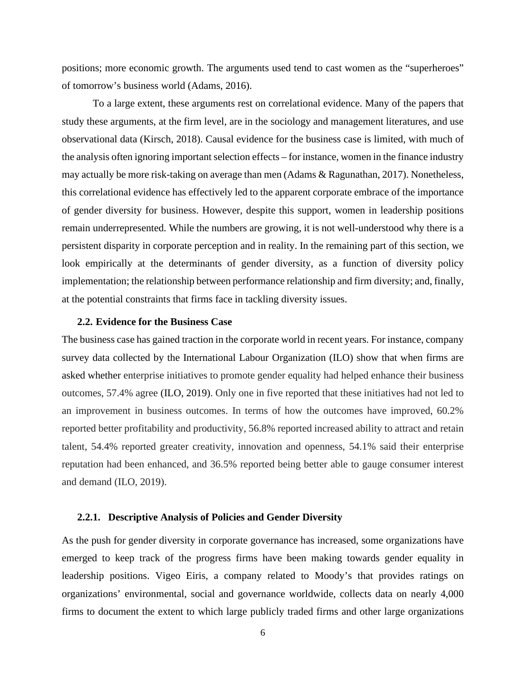positions; more economic growth. The arguments used tend to cast women as the "superheroes" of tomorrow's business world (Adams, 2016).

To a large extent, these arguments rest on correlational evidence. Many of the papers that study these arguments, at the firm level, are in the sociology and management literatures, and use observational data (Kirsch, 2018). Causal evidence for the business case is limited, with much of the analysis often ignoring important selection effects – for instance, women in the finance industry may actually be more risk-taking on average than men (Adams & Ragunathan, 2017). Nonetheless, this correlational evidence has effectively led to the apparent corporate embrace of the importance of gender diversity for business. However, despite this support, women in leadership positions remain underrepresented. While the numbers are growing, it is not well-understood why there is a persistent disparity in corporate perception and in reality. In the remaining part of this section, we look empirically at the determinants of gender diversity, as a function of diversity policy implementation; the relationship between performance relationship and firm diversity; and, finally, at the potential constraints that firms face in tackling diversity issues.

#### **2.2. Evidence for the Business Case**

The business case has gained traction in the corporate world in recent years. For instance, company survey data collected by the International Labour Organization (ILO) show that when firms are asked whether enterprise initiatives to promote gender equality had helped enhance their business outcomes, 57.4% agree (ILO, 2019). Only one in five reported that these initiatives had not led to an improvement in business outcomes. In terms of how the outcomes have improved, 60.2% reported better profitability and productivity, 56.8% reported increased ability to attract and retain talent, 54.4% reported greater creativity, innovation and openness, 54.1% said their enterprise reputation had been enhanced, and 36.5% reported being better able to gauge consumer interest and demand (ILO, 2019).

#### **2.2.1. Descriptive Analysis of Policies and Gender Diversity**

As the push for gender diversity in corporate governance has increased, some organizations have emerged to keep track of the progress firms have been making towards gender equality in leadership positions. Vigeo Eiris, a company related to Moody's that provides ratings on organizations' environmental, social and governance worldwide, collects data on nearly 4,000 firms to document the extent to which large publicly traded firms and other large organizations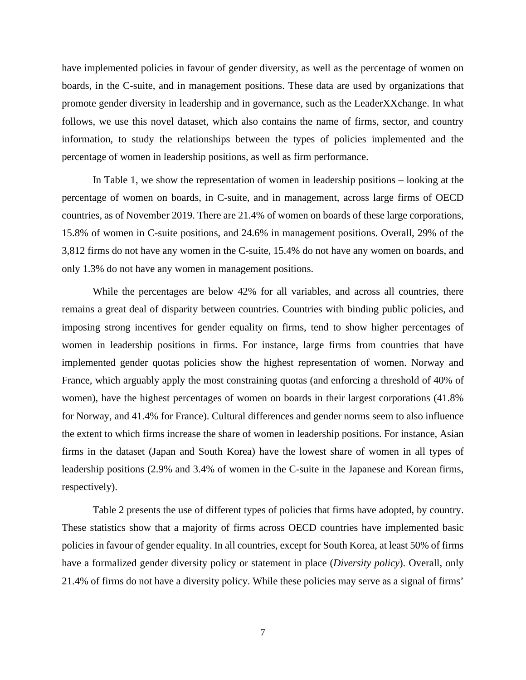have implemented policies in favour of gender diversity, as well as the percentage of women on boards, in the C-suite, and in management positions. These data are used by organizations that promote gender diversity in leadership and in governance, such as the LeaderXXchange. In what follows, we use this novel dataset, which also contains the name of firms, sector, and country information, to study the relationships between the types of policies implemented and the percentage of women in leadership positions, as well as firm performance.

In Table 1, we show the representation of women in leadership positions – looking at the percentage of women on boards, in C-suite, and in management, across large firms of OECD countries, as of November 2019. There are 21.4% of women on boards of these large corporations, 15.8% of women in C-suite positions, and 24.6% in management positions. Overall, 29% of the 3,812 firms do not have any women in the C-suite, 15.4% do not have any women on boards, and only 1.3% do not have any women in management positions.

While the percentages are below 42% for all variables, and across all countries, there remains a great deal of disparity between countries. Countries with binding public policies, and imposing strong incentives for gender equality on firms, tend to show higher percentages of women in leadership positions in firms. For instance, large firms from countries that have implemented gender quotas policies show the highest representation of women. Norway and France, which arguably apply the most constraining quotas (and enforcing a threshold of 40% of women), have the highest percentages of women on boards in their largest corporations (41.8% for Norway, and 41.4% for France). Cultural differences and gender norms seem to also influence the extent to which firms increase the share of women in leadership positions. For instance, Asian firms in the dataset (Japan and South Korea) have the lowest share of women in all types of leadership positions (2.9% and 3.4% of women in the C-suite in the Japanese and Korean firms, respectively).

Table 2 presents the use of different types of policies that firms have adopted, by country. These statistics show that a majority of firms across OECD countries have implemented basic policies in favour of gender equality. In all countries, except for South Korea, at least 50% of firms have a formalized gender diversity policy or statement in place (*Diversity policy*). Overall, only 21.4% of firms do not have a diversity policy. While these policies may serve as a signal of firms'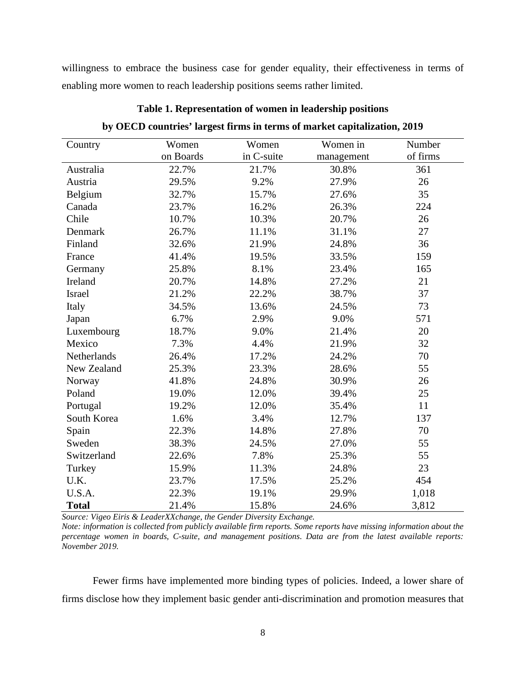willingness to embrace the business case for gender equality, their effectiveness in terms of enabling more women to reach leadership positions seems rather limited.

| Country      | Women     | Women      | Women in   | Number   |
|--------------|-----------|------------|------------|----------|
|              | on Boards | in C-suite | management | of firms |
| Australia    | 22.7%     | 21.7%      | 30.8%      | 361      |
| Austria      | 29.5%     | 9.2%       | 27.9%      | 26       |
| Belgium      | 32.7%     | 15.7%      | 27.6%      | 35       |
| Canada       | 23.7%     | 16.2%      | 26.3%      | 224      |
| Chile        | 10.7%     | 10.3%      | 20.7%      | 26       |
| Denmark      | 26.7%     | 11.1%      | 31.1%      | 27       |
| Finland      | 32.6%     | 21.9%      | 24.8%      | 36       |
| France       | 41.4%     | 19.5%      | 33.5%      | 159      |
| Germany      | 25.8%     | 8.1%       | 23.4%      | 165      |
| Ireland      | 20.7%     | 14.8%      | 27.2%      | 21       |
| Israel       | 21.2%     | 22.2%      | 38.7%      | 37       |
| Italy        | 34.5%     | 13.6%      | 24.5%      | 73       |
| Japan        | 6.7%      | 2.9%       | 9.0%       | 571      |
| Luxembourg   | 18.7%     | 9.0%       | 21.4%      | 20       |
| Mexico       | 7.3%      | 4.4%       | 21.9%      | 32       |
| Netherlands  | 26.4%     | 17.2%      | 24.2%      | 70       |
| New Zealand  | 25.3%     | 23.3%      | 28.6%      | 55       |
| Norway       | 41.8%     | 24.8%      | 30.9%      | 26       |
| Poland       | 19.0%     | 12.0%      | 39.4%      | 25       |
| Portugal     | 19.2%     | 12.0%      | 35.4%      | 11       |
| South Korea  | 1.6%      | 3.4%       | 12.7%      | 137      |
| Spain        | 22.3%     | 14.8%      | 27.8%      | 70       |
| Sweden       | 38.3%     | 24.5%      | 27.0%      | 55       |
| Switzerland  | 22.6%     | 7.8%       | 25.3%      | 55       |
| Turkey       | 15.9%     | 11.3%      | 24.8%      | 23       |
| U.K.         | 23.7%     | 17.5%      | 25.2%      | 454      |
| U.S.A.       | 22.3%     | 19.1%      | 29.9%      | 1,018    |
| <b>Total</b> | 21.4%     | 15.8%      | 24.6%      | 3,812    |

**Table 1. Representation of women in leadership positions**

|  |  |  | by OECD countries' largest firms in terms of market capitalization, 2019 |  |
|--|--|--|--------------------------------------------------------------------------|--|
|  |  |  |                                                                          |  |

*Source: Vigeo Eiris & LeaderXXchange, the Gender Diversity Exchange.* 

*Note: information is collected from publicly available firm reports. Some reports have missing information about the percentage women in boards, C-suite, and management positions*. *Data are from the latest available reports: November 2019.* 

Fewer firms have implemented more binding types of policies. Indeed, a lower share of firms disclose how they implement basic gender anti-discrimination and promotion measures that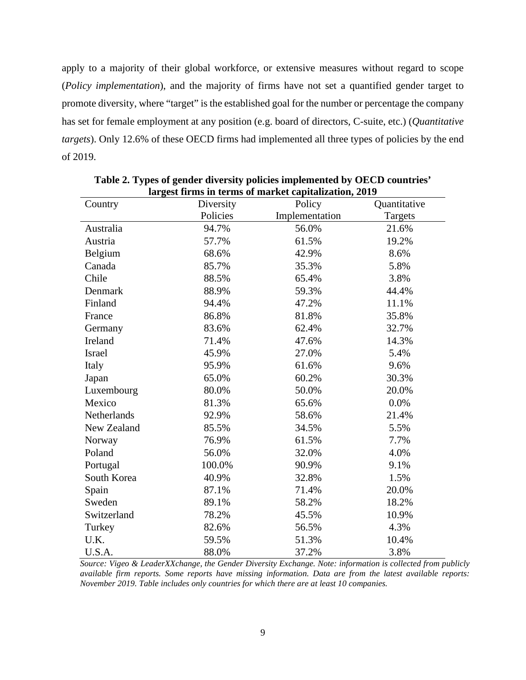apply to a majority of their global workforce, or extensive measures without regard to scope (*Policy implementation*), and the majority of firms have not set a quantified gender target to promote diversity, where "target" is the established goal for the number or percentage the company has set for female employment at any position (e.g. board of directors, C-suite, etc.) (*Quantitative targets*). Only 12.6% of these OECD firms had implemented all three types of policies by the end of 2019.

|             |           | на дея ні тв ті теть от таї ке сарпанданоп, 2012 |              |
|-------------|-----------|--------------------------------------------------|--------------|
| Country     | Diversity | Policy                                           | Quantitative |
|             | Policies  | Implementation                                   | Targets      |
| Australia   | 94.7%     | 56.0%                                            | 21.6%        |
| Austria     | 57.7%     | 61.5%                                            | 19.2%        |
| Belgium     | 68.6%     | 42.9%                                            | 8.6%         |
| Canada      | 85.7%     | 35.3%                                            | 5.8%         |
| Chile       | 88.5%     | 65.4%                                            | 3.8%         |
| Denmark     | 88.9%     | 59.3%                                            | 44.4%        |
| Finland     | 94.4%     | 47.2%                                            | 11.1%        |
| France      | 86.8%     | 81.8%                                            | 35.8%        |
| Germany     | 83.6%     | 62.4%                                            | 32.7%        |
| Ireland     | 71.4%     | 47.6%                                            | 14.3%        |
| Israel      | 45.9%     | 27.0%                                            | 5.4%         |
| Italy       | 95.9%     | 61.6%                                            | 9.6%         |
| Japan       | 65.0%     | 60.2%                                            | 30.3%        |
| Luxembourg  | 80.0%     | 50.0%                                            | 20.0%        |
| Mexico      | 81.3%     | 65.6%                                            | 0.0%         |
| Netherlands | 92.9%     | 58.6%                                            | 21.4%        |
| New Zealand | 85.5%     | 34.5%                                            | 5.5%         |
| Norway      | 76.9%     | 61.5%                                            | 7.7%         |
| Poland      | 56.0%     | 32.0%                                            | 4.0%         |
| Portugal    | 100.0%    | 90.9%                                            | 9.1%         |
| South Korea | 40.9%     | 32.8%                                            | 1.5%         |
| Spain       | 87.1%     | 71.4%                                            | 20.0%        |
| Sweden      | 89.1%     | 58.2%                                            | 18.2%        |
| Switzerland | 78.2%     | 45.5%                                            | 10.9%        |
| Turkey      | 82.6%     | 56.5%                                            | 4.3%         |
| U.K.        | 59.5%     | 51.3%                                            | 10.4%        |
| U.S.A.      | 88.0%     | 37.2%                                            | 3.8%         |

**Table 2. Types of gender diversity policies implemented by OECD countries' largest firms in terms of market capitalization, 2019**

*Source: Vigeo & LeaderXXchange, the Gender Diversity Exchange. Note: information is collected from publicly available firm reports. Some reports have missing information. Data are from the latest available reports: November 2019. Table includes only countries for which there are at least 10 companies.*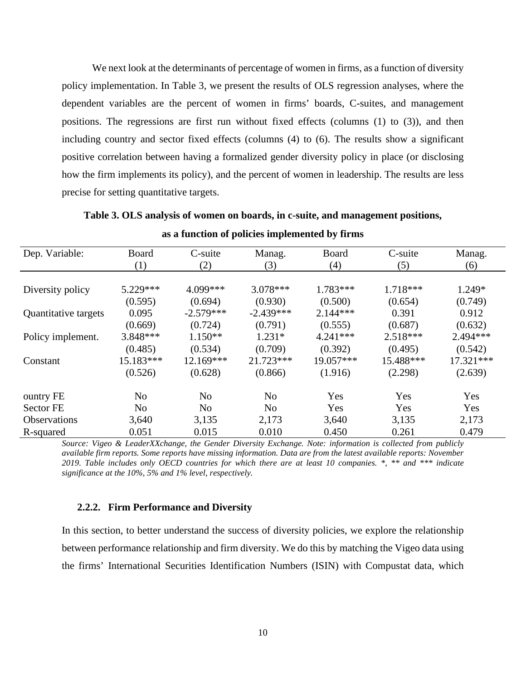We next look at the determinants of percentage of women in firms, as a function of diversity policy implementation. In Table 3, we present the results of OLS regression analyses, where the dependent variables are the percent of women in firms' boards, C-suites, and management positions. The regressions are first run without fixed effects (columns (1) to (3)), and then including country and sector fixed effects (columns (4) to (6). The results show a significant positive correlation between having a formalized gender diversity policy in place (or disclosing how the firm implements its policy), and the percent of women in leadership. The results are less precise for setting quantitative targets.

| Dep. Variable:       | Board      | C-suite        | Manag.         | Board      | C-suite   | Manag.     |
|----------------------|------------|----------------|----------------|------------|-----------|------------|
|                      | (1)        | (2)            | (3)            | (4)        | (5)       | (6)        |
|                      |            |                |                |            |           |            |
| Diversity policy     | $5.229***$ | 4.099***       | $3.078***$     | 1.783***   | 1.718***  | 1.249*     |
|                      | (0.595)    | (0.694)        | (0.930)        | (0.500)    | (0.654)   | (0.749)    |
| Quantitative targets | 0.095      | $-2.579***$    | $-2.439***$    | $2.144***$ | 0.391     | 0.912      |
|                      | (0.669)    | (0.724)        | (0.791)        | (0.555)    | (0.687)   | (0.632)    |
| Policy implement.    | 3.848***   | $1.150**$      | $1.231*$       | $4.241***$ | 2.518***  | $2.494***$ |
|                      | (0.485)    | (0.534)        | (0.709)        | (0.392)    | (0.495)   | (0.542)    |
| Constant             | 15.183***  | 12.169***      | 21.723***      | 19.057***  | 15.488*** | 17.321***  |
|                      | (0.526)    | (0.628)        | (0.866)        | (1.916)    | (2.298)   | (2.639)    |
| ountry FE            | No         | N <sub>0</sub> | N <sub>o</sub> | Yes        | Yes       | Yes        |
| <b>Sector FE</b>     | No         | N <sub>o</sub> | N <sub>0</sub> | Yes        | Yes       | Yes        |
| <b>Observations</b>  | 3,640      | 3,135          | 2,173          | 3,640      | 3,135     | 2,173      |
| R-squared            | 0.051      | 0.015          | 0.010          | 0.450      | 0.261     | 0.479      |

**Table 3. OLS analysis of women on boards, in c-suite, and management positions, as a function of policies implemented by firms**

*Source: Vigeo & LeaderXXchange, the Gender Diversity Exchange. Note: information is collected from publicly available firm reports. Some reports have missing information. Data are from the latest available reports: November 2019. Table includes only OECD countries for which there are at least 10 companies. \*, \*\* and \*\*\* indicate significance at the 10%, 5% and 1% level, respectively.* 

#### **2.2.2. Firm Performance and Diversity**

In this section, to better understand the success of diversity policies, we explore the relationship between performance relationship and firm diversity. We do this by matching the Vigeo data using the firms' International Securities Identification Numbers (ISIN) with Compustat data, which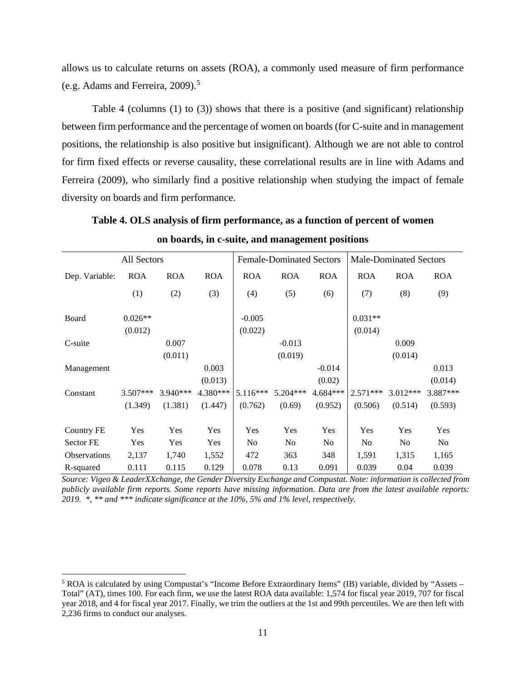allows us to calculate returns on assets (ROA), a commonly used measure of firm performance (e.g. Adams and Ferreira, 2009). [5](#page-12-0)

Table 4 (columns (1) to (3)) shows that there is a positive (and significant) relationship between firm performance and the percentage of women on boards (for C-suite and in management positions, the relationship is also positive but insignificant). Although we are not able to control for firm fixed effects or reverse causality, these correlational results are in line with Adams and Ferreira (2009), who similarly find a positive relationship when studying the impact of female diversity on boards and firm performance.

**Table 4. OLS analysis of firm performance, as a function of percent of women on boards, in c-suite, and management positions**

|                   | All Sectors |            |            |                | <b>Female-Dominated Sectors</b> |                |                | <b>Male-Dominated Sectors</b> |                |
|-------------------|-------------|------------|------------|----------------|---------------------------------|----------------|----------------|-------------------------------|----------------|
| Dep. Variable:    | <b>ROA</b>  | <b>ROA</b> | <b>ROA</b> | <b>ROA</b>     | <b>ROA</b>                      | <b>ROA</b>     | <b>ROA</b>     | <b>ROA</b>                    | <b>ROA</b>     |
|                   | (1)         | (2)        | (3)        | (4)            | (5)                             | (6)            | (7)            | (8)                           | (9)            |
| Board             | $0.026**$   |            |            | $-0.005$       |                                 |                | $0.031**$      |                               |                |
|                   | (0.012)     |            |            | (0.022)        |                                 |                | (0.014)        |                               |                |
| C-suite           |             | 0.007      |            |                | $-0.013$                        |                |                | 0.009                         |                |
|                   |             | (0.011)    |            |                | (0.019)                         |                |                | (0.014)                       |                |
| Management        |             |            | 0.003      |                |                                 | $-0.014$       |                |                               | 0.013          |
|                   |             |            | (0.013)    |                |                                 | (0.02)         |                |                               | (0.014)        |
| Constant          | $3.507***$  | $3.940***$ | 4.380***   | $5.116***$     | 5.204***                        | $4.684***$     | $2.571***$     | 3.012***                      | 3.887***       |
|                   | (1.349)     | (1.381)    | (1.447)    | (0.762)        | (0.69)                          | (0.952)        | (0.506)        | (0.514)                       | (0.593)        |
| <b>Country FE</b> | Yes         | Yes        | Yes        | Yes            | Yes                             | Yes            | Yes            | Yes                           | Yes            |
| Sector FE         | Yes         | Yes        | Yes        | N <sub>0</sub> | N <sub>0</sub>                  | N <sub>0</sub> | N <sub>0</sub> | No                            | N <sub>0</sub> |
| Observations      | 2,137       | 1,740      | 1,552      | 472            | 363                             | 348            | 1,591          | 1,315                         | 1,165          |
| R-squared         | 0.111       | 0.115      | 0.129      | 0.078          | 0.13                            | 0.091          | 0.039          | 0.04                          | 0.039          |

*Source: Vigeo & LeaderXXchange, the Gender Diversity Exchange and Compustat. Note: information is collected from publicly available firm reports. Some reports have missing information. Data are from the latest available reports: 2019. \*, \*\* and \*\*\* indicate significance at the 10%, 5% and 1% level, respectively.* 

<span id="page-12-0"></span><sup>&</sup>lt;sup>5</sup> ROA is calculated by using Compustat's "Income Before Extraordinary Items" (IB) variable, divided by "Assets – Total" (AT), times 100. For each firm, we use the latest ROA data available: 1,574 for fiscal year 2019, 707 for fiscal year 2018, and 4 for fiscal year 2017. Finally, we trim the outliers at the 1st and 99th percentiles. We are then left with 2,236 firms to conduct our analyses.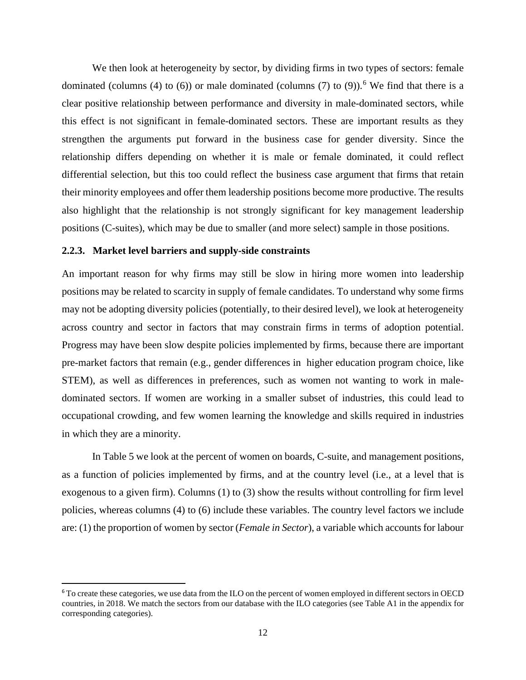We then look at heterogeneity by sector, by dividing firms in two types of sectors: female dominated (columns (4) to ([6](#page-13-0))) or male dominated (columns (7) to (9)).<sup>6</sup> We find that there is a clear positive relationship between performance and diversity in male-dominated sectors, while this effect is not significant in female-dominated sectors. These are important results as they strengthen the arguments put forward in the business case for gender diversity. Since the relationship differs depending on whether it is male or female dominated, it could reflect differential selection, but this too could reflect the business case argument that firms that retain their minority employees and offer them leadership positions become more productive. The results also highlight that the relationship is not strongly significant for key management leadership positions (C-suites), which may be due to smaller (and more select) sample in those positions.

#### **2.2.3. Market level barriers and supply-side constraints**

An important reason for why firms may still be slow in hiring more women into leadership positions may be related to scarcity in supply of female candidates. To understand why some firms may not be adopting diversity policies (potentially, to their desired level), we look at heterogeneity across country and sector in factors that may constrain firms in terms of adoption potential. Progress may have been slow despite policies implemented by firms, because there are important pre-market factors that remain (e.g., gender differences in higher education program choice, like STEM), as well as differences in preferences, such as women not wanting to work in maledominated sectors. If women are working in a smaller subset of industries, this could lead to occupational crowding, and few women learning the knowledge and skills required in industries in which they are a minority.

In Table 5 we look at the percent of women on boards, C-suite, and management positions, as a function of policies implemented by firms, and at the country level (i.e., at a level that is exogenous to a given firm). Columns (1) to (3) show the results without controlling for firm level policies, whereas columns (4) to (6) include these variables. The country level factors we include are: (1) the proportion of women by sector (*Female in Sector*), a variable which accounts for labour

<span id="page-13-0"></span><sup>6</sup> To create these categories, we use data from the ILO on the percent of women employed in different sectors in OECD countries, in 2018. We match the sectors from our database with the ILO categories (see Table A1 in the appendix for corresponding categories).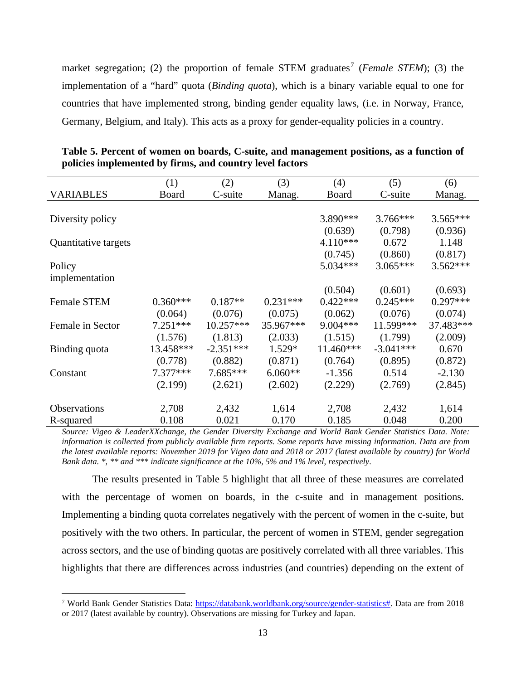market segregation; (2) the proportion of female STEM graduates<sup>[7](#page-14-0)</sup> (*Female STEM*); (3) the implementation of a "hard" quota (*Binding quota*), which is a binary variable equal to one for countries that have implemented strong, binding gender equality laws, (i.e. in Norway, France, Germany, Belgium, and Italy). This acts as a proxy for gender-equality policies in a country.

|                      | (1)        | (2)         | (3)        | (4)         | (5)         | (6)        |
|----------------------|------------|-------------|------------|-------------|-------------|------------|
| <b>VARIABLES</b>     | Board      | C-suite     | Manag.     | Board       | C-suite     | Manag.     |
|                      |            |             |            |             |             |            |
| Diversity policy     |            |             |            | 3.890 ***   | $3.766***$  | $3.565***$ |
|                      |            |             |            | (0.639)     | (0.798)     | (0.936)    |
| Quantitative targets |            |             |            | $4.110***$  | 0.672       | 1.148      |
|                      |            |             |            | (0.745)     | (0.860)     | (0.817)    |
| Policy               |            |             |            | $5.034***$  | $3.065***$  | $3.562***$ |
| implementation       |            |             |            |             |             |            |
|                      |            |             |            | (0.504)     | (0.601)     | (0.693)    |
| <b>Female STEM</b>   | $0.360***$ | $0.187**$   | $0.231***$ | $0.422***$  | $0.245***$  | $0.297***$ |
|                      | (0.064)    | (0.076)     | (0.075)    | (0.062)     | (0.076)     | (0.074)    |
| Female in Sector     | $7.251***$ | $10.257***$ | 35.967***  | $9.004***$  | 11.599***   | 37.483***  |
|                      | (1.576)    | (1.813)     | (2.033)    | (1.515)     | (1.799)     | (2.009)    |
| Binding quota        | 13.458***  | $-2.351***$ | $1.529*$   | $11.460***$ | $-3.041***$ | 0.670      |
|                      | (0.778)    | (0.882)     | (0.871)    | (0.764)     | (0.895)     | (0.872)    |
| Constant             | $7.377***$ | $7.685***$  | $6.060**$  | $-1.356$    | 0.514       | $-2.130$   |
|                      | (2.199)    | (2.621)     | (2.602)    | (2.229)     | (2.769)     | (2.845)    |
|                      |            |             |            |             |             |            |
| <b>Observations</b>  | 2,708      | 2,432       | 1,614      | 2,708       | 2,432       | 1,614      |
| R-squared            | 0.108      | 0.021       | 0.170      | 0.185       | 0.048       | 0.200      |

**Table 5. Percent of women on boards, C-suite, and management positions, as a function of policies implemented by firms, and country level factors**

*Source: Vigeo & LeaderXXchange, the Gender Diversity Exchange and World Bank Gender Statistics Data. Note: information is collected from publicly available firm reports. Some reports have missing information. Data are from the latest available reports: November 2019 for Vigeo data and 2018 or 2017 (latest available by country) for World Bank data. \*, \*\* and \*\*\* indicate significance at the 10%, 5% and 1% level, respectively.* 

The results presented in Table 5 highlight that all three of these measures are correlated with the percentage of women on boards, in the c-suite and in management positions. Implementing a binding quota correlates negatively with the percent of women in the c-suite, but positively with the two others. In particular, the percent of women in STEM, gender segregation across sectors, and the use of binding quotas are positively correlated with all three variables. This highlights that there are differences across industries (and countries) depending on the extent of

<span id="page-14-0"></span><sup>&</sup>lt;sup>7</sup> World Bank Gender Statistics Data: [https://databank.worldbank.org/source/gender-statistics#.](https://databank.worldbank.org/source/gender-statistics) Data are from 2018 or 2017 (latest available by country). Observations are missing for Turkey and Japan.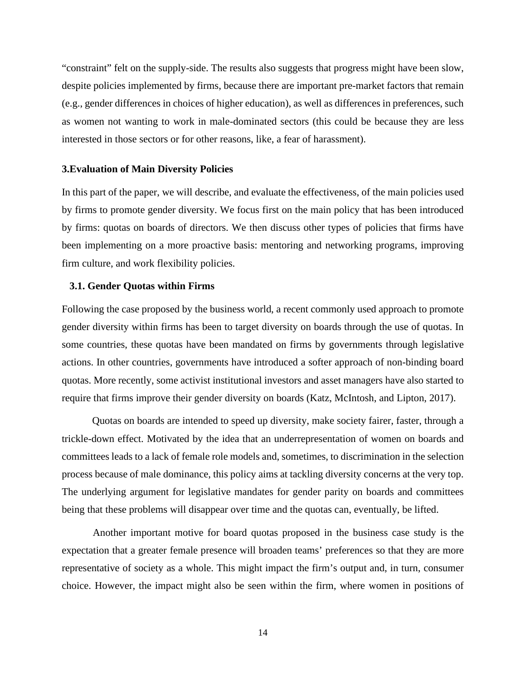"constraint" felt on the supply-side. The results also suggests that progress might have been slow, despite policies implemented by firms, because there are important pre-market factors that remain (e.g., gender differences in choices of higher education), as well as differences in preferences, such as women not wanting to work in male-dominated sectors (this could be because they are less interested in those sectors or for other reasons, like, a fear of harassment).

#### **3.Evaluation of Main Diversity Policies**

In this part of the paper, we will describe, and evaluate the effectiveness, of the main policies used by firms to promote gender diversity. We focus first on the main policy that has been introduced by firms: quotas on boards of directors. We then discuss other types of policies that firms have been implementing on a more proactive basis: mentoring and networking programs, improving firm culture, and work flexibility policies.

#### **3.1. Gender Quotas within Firms**

Following the case proposed by the business world, a recent commonly used approach to promote gender diversity within firms has been to target diversity on boards through the use of quotas. In some countries, these quotas have been mandated on firms by governments through legislative actions. In other countries, governments have introduced a softer approach of non-binding board quotas. More recently, some activist institutional investors and asset managers have also started to require that firms improve their gender diversity on boards (Katz, McIntosh, and Lipton, 2017).

Quotas on boards are intended to speed up diversity, make society fairer, faster, through a trickle-down effect. Motivated by the idea that an underrepresentation of women on boards and committees leads to a lack of female role models and, sometimes, to discrimination in the selection process because of male dominance, this policy aims at tackling diversity concerns at the very top. The underlying argument for legislative mandates for gender parity on boards and committees being that these problems will disappear over time and the quotas can, eventually, be lifted.

Another important motive for board quotas proposed in the business case study is the expectation that a greater female presence will broaden teams' preferences so that they are more representative of society as a whole. This might impact the firm's output and, in turn, consumer choice. However, the impact might also be seen within the firm, where women in positions of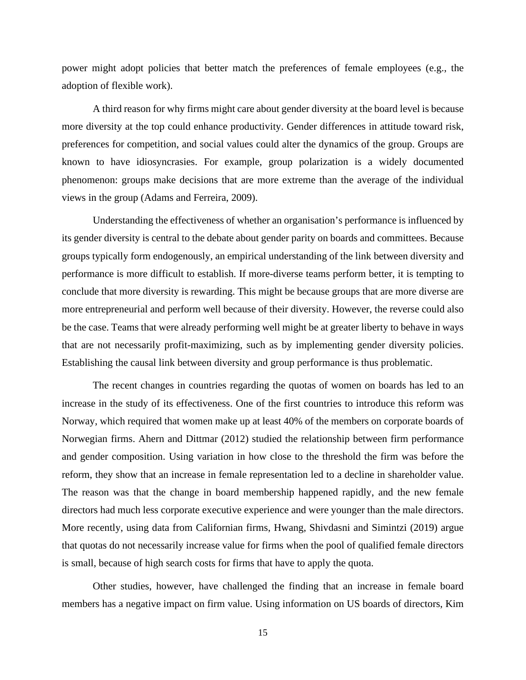power might adopt policies that better match the preferences of female employees (e.g., the adoption of flexible work).

A third reason for why firms might care about gender diversity at the board level is because more diversity at the top could enhance productivity. Gender differences in attitude toward risk, preferences for competition, and social values could alter the dynamics of the group. Groups are known to have idiosyncrasies. For example, group polarization is a widely documented phenomenon: groups make decisions that are more extreme than the average of the individual views in the group (Adams and Ferreira, 2009).

Understanding the effectiveness of whether an organisation's performance is influenced by its gender diversity is central to the debate about gender parity on boards and committees. Because groups typically form endogenously, an empirical understanding of the link between diversity and performance is more difficult to establish. If more-diverse teams perform better, it is tempting to conclude that more diversity is rewarding. This might be because groups that are more diverse are more entrepreneurial and perform well because of their diversity. However, the reverse could also be the case. Teams that were already performing well might be at greater liberty to behave in ways that are not necessarily profit-maximizing, such as by implementing gender diversity policies. Establishing the causal link between diversity and group performance is thus problematic.

The recent changes in countries regarding the quotas of women on boards has led to an increase in the study of its effectiveness. One of the first countries to introduce this reform was Norway, which required that women make up at least 40% of the members on corporate boards of Norwegian firms. Ahern and Dittmar (2012) studied the relationship between firm performance and gender composition. Using variation in how close to the threshold the firm was before the reform, they show that an increase in female representation led to a decline in shareholder value. The reason was that the change in board membership happened rapidly, and the new female directors had much less corporate executive experience and were younger than the male directors. More recently, using data from Californian firms, Hwang, Shivdasni and Simintzi (2019) argue that quotas do not necessarily increase value for firms when the pool of qualified female directors is small, because of high search costs for firms that have to apply the quota.

Other studies, however, have challenged the finding that an increase in female board members has a negative impact on firm value. Using information on US boards of directors, Kim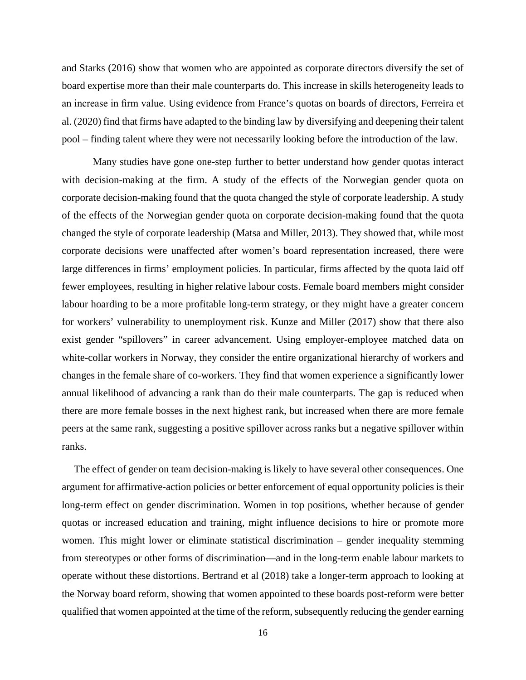and Starks (2016) show that women who are appointed as corporate directors diversify the set of board expertise more than their male counterparts do. This increase in skills heterogeneity leads to an increase in firm value. Using evidence from France's quotas on boards of directors, Ferreira et al. (2020) find that firms have adapted to the binding law by diversifying and deepening their talent pool – finding talent where they were not necessarily looking before the introduction of the law.

Many studies have gone one-step further to better understand how gender quotas interact with decision-making at the firm. A study of the effects of the Norwegian gender quota on corporate decision-making found that the quota changed the style of corporate leadership. A study of the effects of the Norwegian gender quota on corporate decision-making found that the quota changed the style of corporate leadership (Matsa and Miller, 2013). They showed that, while most corporate decisions were unaffected after women's board representation increased, there were large differences in firms' employment policies. In particular, firms affected by the quota laid off fewer employees, resulting in higher relative labour costs. Female board members might consider labour hoarding to be a more profitable long-term strategy, or they might have a greater concern for workers' vulnerability to unemployment risk. Kunze and Miller (2017) show that there also exist gender "spillovers" in career advancement. Using employer-employee matched data on white-collar workers in Norway, they consider the entire organizational hierarchy of workers and changes in the female share of co-workers. They find that women experience a significantly lower annual likelihood of advancing a rank than do their male counterparts. The gap is reduced when there are more female bosses in the next highest rank, but increased when there are more female peers at the same rank, suggesting a positive spillover across ranks but a negative spillover within ranks.

The effect of gender on team decision-making is likely to have several other consequences. One argument for affirmative-action policies or better enforcement of equal opportunity policies is their long-term effect on gender discrimination. Women in top positions, whether because of gender quotas or increased education and training, might influence decisions to hire or promote more women. This might lower or eliminate statistical discrimination – gender inequality stemming from stereotypes or other forms of discrimination—and in the long-term enable labour markets to operate without these distortions. Bertrand et al (2018) take a longer-term approach to looking at the Norway board reform, showing that women appointed to these boards post-reform were better qualified that women appointed at the time of the reform, subsequently reducing the gender earning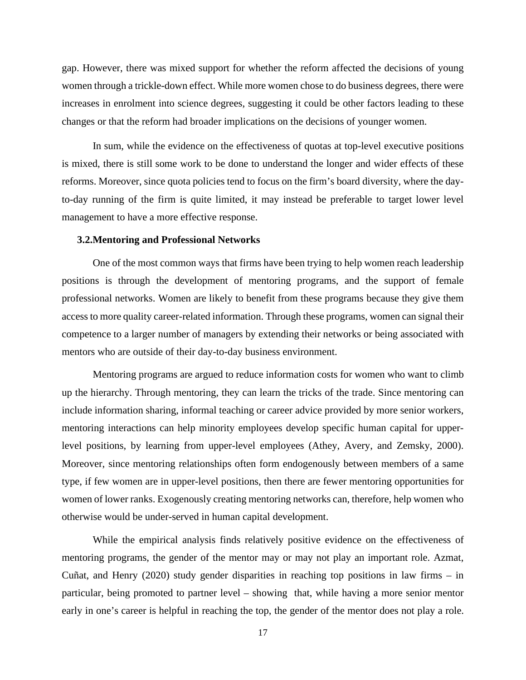gap. However, there was mixed support for whether the reform affected the decisions of young women through a trickle-down effect. While more women chose to do business degrees, there were increases in enrolment into science degrees, suggesting it could be other factors leading to these changes or that the reform had broader implications on the decisions of younger women.

In sum, while the evidence on the effectiveness of quotas at top-level executive positions is mixed, there is still some work to be done to understand the longer and wider effects of these reforms. Moreover, since quota policies tend to focus on the firm's board diversity, where the dayto-day running of the firm is quite limited, it may instead be preferable to target lower level management to have a more effective response.

#### **3.2.Mentoring and Professional Networks**

One of the most common ways that firms have been trying to help women reach leadership positions is through the development of mentoring programs, and the support of female professional networks. Women are likely to benefit from these programs because they give them access to more quality career-related information. Through these programs, women can signal their competence to a larger number of managers by extending their networks or being associated with mentors who are outside of their day-to-day business environment.

Mentoring programs are argued to reduce information costs for women who want to climb up the hierarchy. Through mentoring, they can learn the tricks of the trade. Since mentoring can include information sharing, informal teaching or career advice provided by more senior workers, mentoring interactions can help minority employees develop specific human capital for upperlevel positions, by learning from upper-level employees (Athey, Avery, and Zemsky, 2000). Moreover, since mentoring relationships often form endogenously between members of a same type, if few women are in upper-level positions, then there are fewer mentoring opportunities for women of lower ranks. Exogenously creating mentoring networks can, therefore, help women who otherwise would be under-served in human capital development.

While the empirical analysis finds relatively positive evidence on the effectiveness of mentoring programs, the gender of the mentor may or may not play an important role. Azmat, Cuñat, and Henry (2020) study gender disparities in reaching top positions in law firms – in particular, being promoted to partner level – showing that, while having a more senior mentor early in one's career is helpful in reaching the top, the gender of the mentor does not play a role.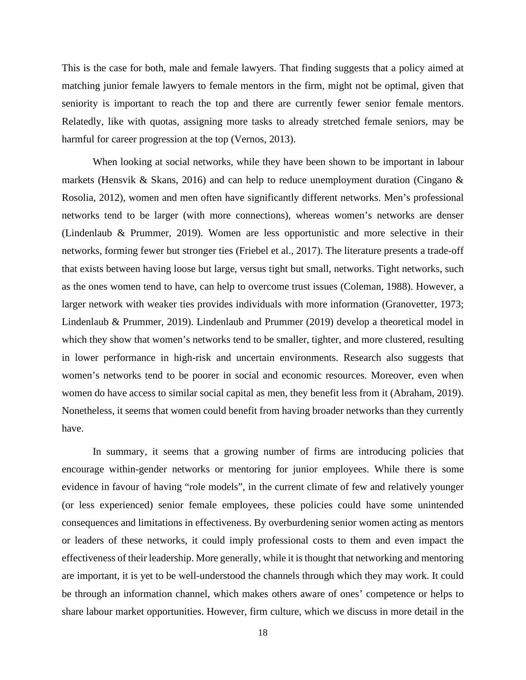This is the case for both, male and female lawyers. That finding suggests that a policy aimed at matching junior female lawyers to female mentors in the firm, might not be optimal, given that seniority is important to reach the top and there are currently fewer senior female mentors. Relatedly, like with quotas, assigning more tasks to already stretched female seniors, may be harmful for career progression at the top (Vernos, 2013).

When looking at social networks, while they have been shown to be important in labour markets (Hensvik & Skans, 2016) and can help to reduce unemployment duration (Cingano & Rosolia, 2012), women and men often have significantly different networks. Men's professional networks tend to be larger (with more connections), whereas women's networks are denser (Lindenlaub & Prummer, 2019). Women are less opportunistic and more selective in their networks, forming fewer but stronger ties (Friebel et al., 2017). The literature presents a trade-off that exists between having loose but large, versus tight but small, networks. Tight networks, such as the ones women tend to have, can help to overcome trust issues (Coleman, 1988). However, a larger network with weaker ties provides individuals with more information (Granovetter, 1973; Lindenlaub & Prummer, 2019). Lindenlaub and Prummer (2019) develop a theoretical model in which they show that women's networks tend to be smaller, tighter, and more clustered, resulting in lower performance in high-risk and uncertain environments. Research also suggests that women's networks tend to be poorer in social and economic resources. Moreover, even when women do have access to similar social capital as men, they benefit less from it (Abraham, 2019). Nonetheless, it seems that women could benefit from having broader networks than they currently have.

In summary, it seems that a growing number of firms are introducing policies that encourage within-gender networks or mentoring for junior employees. While there is some evidence in favour of having "role models", in the current climate of few and relatively younger (or less experienced) senior female employees, these policies could have some unintended consequences and limitations in effectiveness. By overburdening senior women acting as mentors or leaders of these networks, it could imply professional costs to them and even impact the effectiveness of their leadership. More generally, while it is thought that networking and mentoring are important, it is yet to be well-understood the channels through which they may work. It could be through an information channel, which makes others aware of ones' competence or helps to share labour market opportunities. However, firm culture, which we discuss in more detail in the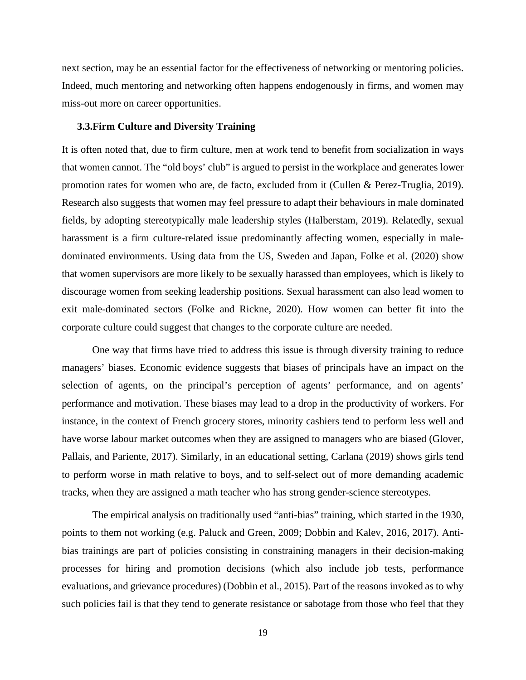next section, may be an essential factor for the effectiveness of networking or mentoring policies. Indeed, much mentoring and networking often happens endogenously in firms, and women may miss-out more on career opportunities.

#### **3.3.Firm Culture and Diversity Training**

It is often noted that, due to firm culture, men at work tend to benefit from socialization in ways that women cannot. The "old boys' club" is argued to persist in the workplace and generates lower promotion rates for women who are, de facto, excluded from it (Cullen & Perez-Truglia, 2019). Research also suggests that women may feel pressure to adapt their behaviours in male dominated fields, by adopting stereotypically male leadership styles (Halberstam, 2019). Relatedly, sexual harassment is a firm culture-related issue predominantly affecting women, especially in maledominated environments. Using data from the US, Sweden and Japan, Folke et al. (2020) show that women supervisors are more likely to be sexually harassed than employees, which is likely to discourage women from seeking leadership positions. Sexual harassment can also lead women to exit male-dominated sectors (Folke and Rickne, 2020). How women can better fit into the corporate culture could suggest that changes to the corporate culture are needed.

One way that firms have tried to address this issue is through diversity training to reduce managers' biases. Economic evidence suggests that biases of principals have an impact on the selection of agents, on the principal's perception of agents' performance, and on agents' performance and motivation. These biases may lead to a drop in the productivity of workers. For instance, in the context of French grocery stores, minority cashiers tend to perform less well and have worse labour market outcomes when they are assigned to managers who are biased (Glover, Pallais, and Pariente, 2017). Similarly, in an educational setting, Carlana (2019) shows girls tend to perform worse in math relative to boys, and to self-select out of more demanding academic tracks, when they are assigned a math teacher who has strong gender-science stereotypes.

The empirical analysis on traditionally used "anti-bias" training, which started in the 1930, points to them not working (e.g. Paluck and Green, 2009; Dobbin and Kalev, 2016, 2017). Antibias trainings are part of policies consisting in constraining managers in their decision-making processes for hiring and promotion decisions (which also include job tests, performance evaluations, and grievance procedures) (Dobbin et al., 2015). Part of the reasons invoked as to why such policies fail is that they tend to generate resistance or sabotage from those who feel that they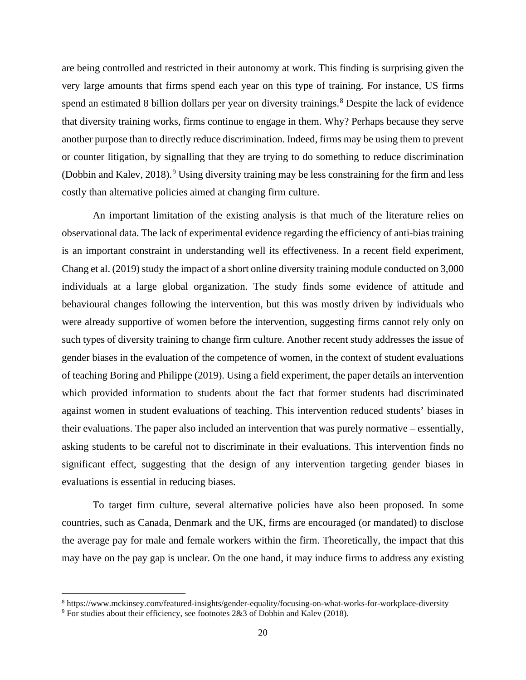are being controlled and restricted in their autonomy at work. This finding is surprising given the very large amounts that firms spend each year on this type of training. For instance, US firms spend an estimated [8](#page-21-0) billion dollars per year on diversity trainings.<sup>8</sup> Despite the lack of evidence that diversity training works, firms continue to engage in them. Why? Perhaps because they serve another purpose than to directly reduce discrimination. Indeed, firms may be using them to prevent or counter litigation, by signalling that they are trying to do something to reduce discrimination (Dobbin and Kalev, 2018). [9](#page-21-1) Using diversity training may be less constraining for the firm and less costly than alternative policies aimed at changing firm culture.

An important limitation of the existing analysis is that much of the literature relies on observational data. The lack of experimental evidence regarding the efficiency of anti-bias training is an important constraint in understanding well its effectiveness. In a recent field experiment, Chang et al. (2019) study the impact of a short online diversity training module conducted on 3,000 individuals at a large global organization. The study finds some evidence of attitude and behavioural changes following the intervention, but this was mostly driven by individuals who were already supportive of women before the intervention, suggesting firms cannot rely only on such types of diversity training to change firm culture. Another recent study addresses the issue of gender biases in the evaluation of the competence of women, in the context of student evaluations of teaching Boring and Philippe (2019). Using a field experiment, the paper details an intervention which provided information to students about the fact that former students had discriminated against women in student evaluations of teaching. This intervention reduced students' biases in their evaluations. The paper also included an intervention that was purely normative – essentially, asking students to be careful not to discriminate in their evaluations. This intervention finds no significant effect, suggesting that the design of any intervention targeting gender biases in evaluations is essential in reducing biases.

To target firm culture, several alternative policies have also been proposed. In some countries, such as Canada, Denmark and the UK, firms are encouraged (or mandated) to disclose the average pay for male and female workers within the firm. Theoretically, the impact that this may have on the pay gap is unclear. On the one hand, it may induce firms to address any existing

<span id="page-21-0"></span><sup>8</sup> https://www.mckinsey.com/featured-insights/gender-equality/focusing-on-what-works-for-workplace-diversity

<span id="page-21-1"></span><sup>9</sup> For studies about their efficiency, see footnotes 2&3 of Dobbin and Kalev (2018).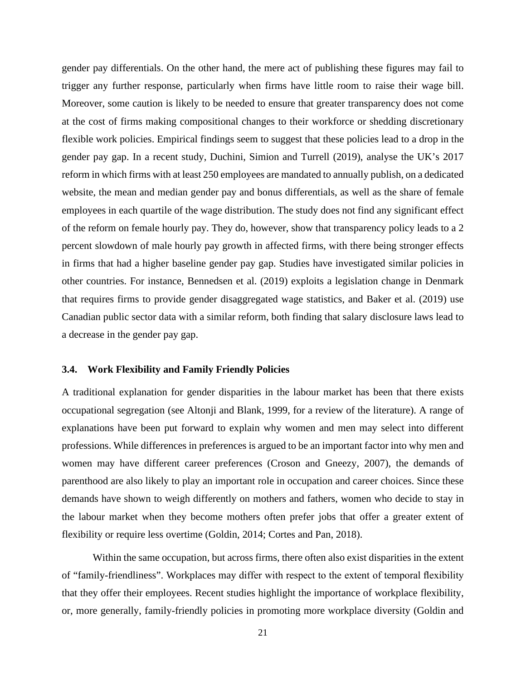gender pay differentials. On the other hand, the mere act of publishing these figures may fail to trigger any further response, particularly when firms have little room to raise their wage bill. Moreover, some caution is likely to be needed to ensure that greater transparency does not come at the cost of firms making compositional changes to their workforce or shedding discretionary flexible work policies. Empirical findings seem to suggest that these policies lead to a drop in the gender pay gap. In a recent study, Duchini, Simion and Turrell (2019), analyse the UK's 2017 reform in which firms with at least 250 employees are mandated to annually publish, on a dedicated website, the mean and median gender pay and bonus differentials, as well as the share of female employees in each quartile of the wage distribution. The study does not find any significant effect of the reform on female hourly pay. They do, however, show that transparency policy leads to a 2 percent slowdown of male hourly pay growth in affected firms, with there being stronger effects in firms that had a higher baseline gender pay gap. Studies have investigated similar policies in other countries. For instance, Bennedsen et al. (2019) exploits a legislation change in Denmark that requires firms to provide gender disaggregated wage statistics, and Baker et al. (2019) use Canadian public sector data with a similar reform, both finding that salary disclosure laws lead to a decrease in the gender pay gap.

#### **3.4. Work Flexibility and Family Friendly Policies**

A traditional explanation for gender disparities in the labour market has been that there exists occupational segregation (see Altonji and Blank, 1999, for a review of the literature). A range of explanations have been put forward to explain why women and men may select into different professions. While differences in preferences is argued to be an important factor into why men and women may have different career preferences (Croson and Gneezy, 2007), the demands of parenthood are also likely to play an important role in occupation and career choices. Since these demands have shown to weigh differently on mothers and fathers, women who decide to stay in the labour market when they become mothers often prefer jobs that offer a greater extent of flexibility or require less overtime (Goldin, 2014; Cortes and Pan, 2018).

Within the same occupation, but across firms, there often also exist disparities in the extent of "family-friendliness". Workplaces may differ with respect to the extent of temporal flexibility that they offer their employees. Recent studies highlight the importance of workplace flexibility, or, more generally, family-friendly policies in promoting more workplace diversity (Goldin and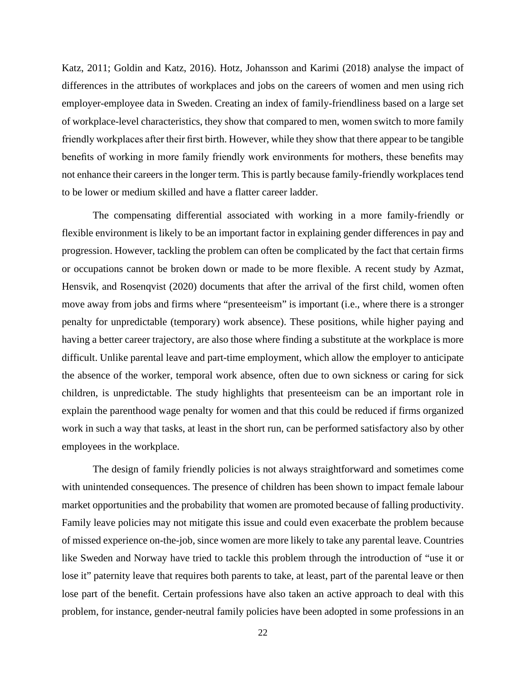Katz, 2011; Goldin and Katz, 2016). Hotz, Johansson and Karimi (2018) analyse the impact of differences in the attributes of workplaces and jobs on the careers of women and men using rich employer-employee data in Sweden. Creating an index of family-friendliness based on a large set of workplace-level characteristics, they show that compared to men, women switch to more family friendly workplaces after their first birth. However, while they show that there appear to be tangible benefits of working in more family friendly work environments for mothers, these benefits may not enhance their careers in the longer term. This is partly because family-friendly workplaces tend to be lower or medium skilled and have a flatter career ladder.

The compensating differential associated with working in a more family-friendly or flexible environment is likely to be an important factor in explaining gender differences in pay and progression. However, tackling the problem can often be complicated by the fact that certain firms or occupations cannot be broken down or made to be more flexible. A recent study by Azmat, Hensvik, and Rosenqvist (2020) documents that after the arrival of the first child, women often move away from jobs and firms where "presenteeism" is important (i.e., where there is a stronger penalty for unpredictable (temporary) work absence). These positions, while higher paying and having a better career trajectory, are also those where finding a substitute at the workplace is more difficult. Unlike parental leave and part-time employment, which allow the employer to anticipate the absence of the worker, temporal work absence, often due to own sickness or caring for sick children, is unpredictable. The study highlights that presenteeism can be an important role in explain the parenthood wage penalty for women and that this could be reduced if firms organized work in such a way that tasks, at least in the short run, can be performed satisfactory also by other employees in the workplace.

The design of family friendly policies is not always straightforward and sometimes come with unintended consequences. The presence of children has been shown to impact female labour market opportunities and the probability that women are promoted because of falling productivity. Family leave policies may not mitigate this issue and could even exacerbate the problem because of missed experience on-the-job, since women are more likely to take any parental leave. Countries like Sweden and Norway have tried to tackle this problem through the introduction of "use it or lose it" paternity leave that requires both parents to take, at least, part of the parental leave or then lose part of the benefit. Certain professions have also taken an active approach to deal with this problem, for instance, gender-neutral family policies have been adopted in some professions in an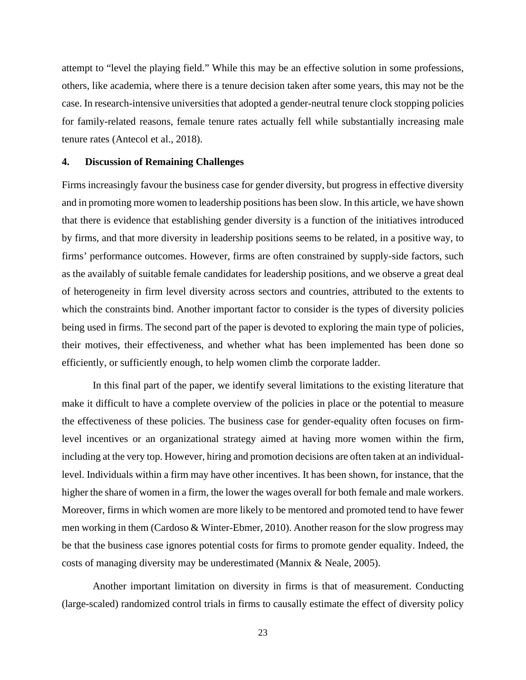attempt to "level the playing field." While this may be an effective solution in some professions, others, like academia, where there is a tenure decision taken after some years, this may not be the case. In research-intensive universities that adopted a gender-neutral tenure clock stopping policies for family-related reasons, female tenure rates actually fell while substantially increasing male tenure rates (Antecol et al., 2018).

#### **4. Discussion of Remaining Challenges**

Firms increasingly favour the business case for gender diversity, but progress in effective diversity and in promoting more women to leadership positions has been slow. In this article, we have shown that there is evidence that establishing gender diversity is a function of the initiatives introduced by firms, and that more diversity in leadership positions seems to be related, in a positive way, to firms' performance outcomes. However, firms are often constrained by supply-side factors, such as the availably of suitable female candidates for leadership positions, and we observe a great deal of heterogeneity in firm level diversity across sectors and countries, attributed to the extents to which the constraints bind. Another important factor to consider is the types of diversity policies being used in firms. The second part of the paper is devoted to exploring the main type of policies, their motives, their effectiveness, and whether what has been implemented has been done so efficiently, or sufficiently enough, to help women climb the corporate ladder.

In this final part of the paper, we identify several limitations to the existing literature that make it difficult to have a complete overview of the policies in place or the potential to measure the effectiveness of these policies. The business case for gender-equality often focuses on firmlevel incentives or an organizational strategy aimed at having more women within the firm, including at the very top. However, hiring and promotion decisions are often taken at an individuallevel. Individuals within a firm may have other incentives. It has been shown, for instance, that the higher the share of women in a firm, the lower the wages overall for both female and male workers. Moreover, firms in which women are more likely to be mentored and promoted tend to have fewer men working in them (Cardoso & Winter-Ebmer, 2010). Another reason for the slow progress may be that the business case ignores potential costs for firms to promote gender equality. Indeed, the costs of managing diversity may be underestimated (Mannix & Neale, 2005).

Another important limitation on diversity in firms is that of measurement. Conducting (large-scaled) randomized control trials in firms to causally estimate the effect of diversity policy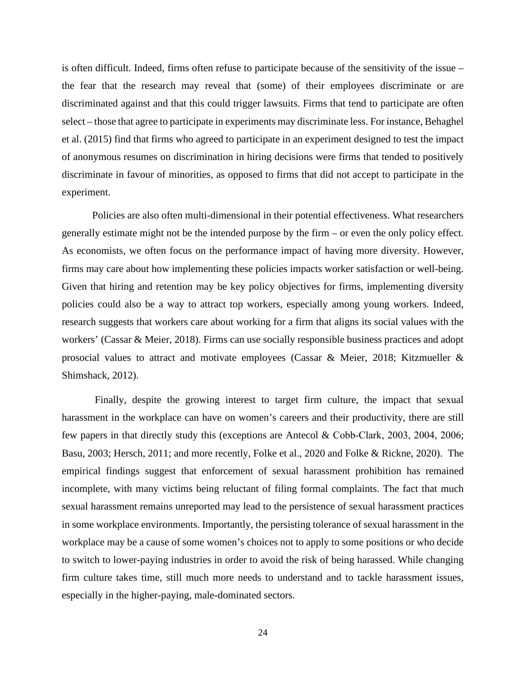is often difficult. Indeed, firms often refuse to participate because of the sensitivity of the issue – the fear that the research may reveal that (some) of their employees discriminate or are discriminated against and that this could trigger lawsuits. Firms that tend to participate are often select – those that agree to participate in experiments may discriminate less. For instance, Behaghel et al. (2015) find that firms who agreed to participate in an experiment designed to test the impact of anonymous resumes on discrimination in hiring decisions were firms that tended to positively discriminate in favour of minorities, as opposed to firms that did not accept to participate in the experiment.

Policies are also often multi-dimensional in their potential effectiveness. What researchers generally estimate might not be the intended purpose by the firm – or even the only policy effect. As economists, we often focus on the performance impact of having more diversity. However, firms may care about how implementing these policies impacts worker satisfaction or well-being. Given that hiring and retention may be key policy objectives for firms, implementing diversity policies could also be a way to attract top workers, especially among young workers. Indeed, research suggests that workers care about working for a firm that aligns its social values with the workers' (Cassar & Meier, 2018). Firms can use socially responsible business practices and adopt prosocial values to attract and motivate employees (Cassar & Meier, 2018; Kitzmueller & Shimshack, 2012).

Finally, despite the growing interest to target firm culture, the impact that sexual harassment in the workplace can have on women's careers and their productivity, there are still few papers in that directly study this (exceptions are Antecol & Cobb-Clark, 2003, 2004, 2006; Basu, 2003; Hersch, 2011; and more recently, Folke et al., 2020 and Folke & Rickne, 2020). The empirical findings suggest that enforcement of sexual harassment prohibition has remained incomplete, with many victims being reluctant of filing formal complaints. The fact that much sexual harassment remains unreported may lead to the persistence of sexual harassment practices in some workplace environments. Importantly, the persisting tolerance of sexual harassment in the workplace may be a cause of some women's choices not to apply to some positions or who decide to switch to lower-paying industries in order to avoid the risk of being harassed. While changing firm culture takes time, still much more needs to understand and to tackle harassment issues, especially in the higher-paying, male-dominated sectors.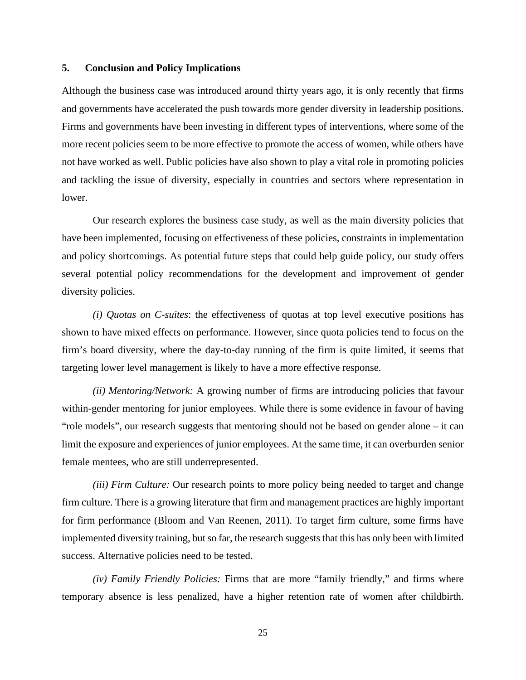#### **5. Conclusion and Policy Implications**

Although the business case was introduced around thirty years ago, it is only recently that firms and governments have accelerated the push towards more gender diversity in leadership positions. Firms and governments have been investing in different types of interventions, where some of the more recent policies seem to be more effective to promote the access of women, while others have not have worked as well. Public policies have also shown to play a vital role in promoting policies and tackling the issue of diversity, especially in countries and sectors where representation in lower.

Our research explores the business case study, as well as the main diversity policies that have been implemented, focusing on effectiveness of these policies, constraints in implementation and policy shortcomings. As potential future steps that could help guide policy, our study offers several potential policy recommendations for the development and improvement of gender diversity policies.

*(i) Quotas on C-suites*: the effectiveness of quotas at top level executive positions has shown to have mixed effects on performance. However, since quota policies tend to focus on the firm's board diversity, where the day-to-day running of the firm is quite limited, it seems that targeting lower level management is likely to have a more effective response.

*(ii) Mentoring/Network:* A growing number of firms are introducing policies that favour within-gender mentoring for junior employees. While there is some evidence in favour of having "role models", our research suggests that mentoring should not be based on gender alone – it can limit the exposure and experiences of junior employees. At the same time, it can overburden senior female mentees, who are still underrepresented.

*(iii) Firm Culture:* Our research points to more policy being needed to target and change firm culture. There is a growing literature that firm and management practices are highly important for firm performance (Bloom and Van Reenen, 2011). To target firm culture, some firms have implemented diversity training, but so far, the research suggests that this has only been with limited success. Alternative policies need to be tested.

*(iv) Family Friendly Policies:* Firms that are more "family friendly," and firms where temporary absence is less penalized, have a higher retention rate of women after childbirth.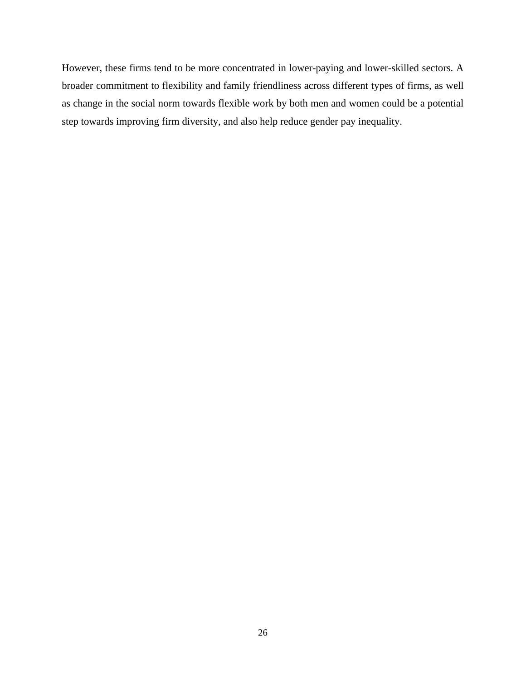However, these firms tend to be more concentrated in lower-paying and lower-skilled sectors. A broader commitment to flexibility and family friendliness across different types of firms, as well as change in the social norm towards flexible work by both men and women could be a potential step towards improving firm diversity, and also help reduce gender pay inequality.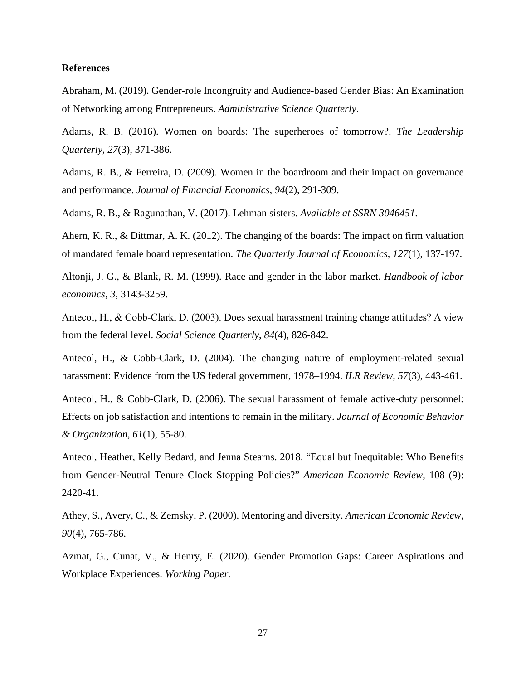#### **References**

Abraham, M. (2019). Gender-role Incongruity and Audience-based Gender Bias: An Examination of Networking among Entrepreneurs. *Administrative Science Quarterly*.

Adams, R. B. (2016). Women on boards: The superheroes of tomorrow?. *The Leadership Quarterly*, *27*(3), 371-386.

Adams, R. B., & Ferreira, D. (2009). Women in the boardroom and their impact on governance and performance. *Journal of Financial Economics*, *94*(2), 291-309.

Adams, R. B., & Ragunathan, V. (2017). Lehman sisters. *Available at SSRN 3046451*.

Ahern, K. R., & Dittmar, A. K. (2012). The changing of the boards: The impact on firm valuation of mandated female board representation. *The Quarterly Journal of Economics*, *127*(1), 137-197.

Altonji, J. G., & Blank, R. M. (1999). Race and gender in the labor market. *Handbook of labor economics*, *3*, 3143-3259.

Antecol, H., & Cobb‐Clark, D. (2003). Does sexual harassment training change attitudes? A view from the federal level. *Social Science Quarterly*, *84*(4), 826-842.

Antecol, H., & Cobb-Clark, D. (2004). The changing nature of employment-related sexual harassment: Evidence from the US federal government, 1978–1994. *ILR Review*, *57*(3), 443-461.

Antecol, H., & Cobb-Clark, D. (2006). The sexual harassment of female active-duty personnel: Effects on job satisfaction and intentions to remain in the military. *Journal of Economic Behavior & Organization*, *61*(1), 55-80.

Antecol, Heather, Kelly Bedard, and Jenna Stearns. 2018. "Equal but Inequitable: Who Benefits from Gender-Neutral Tenure Clock Stopping Policies?" *American Economic Review*, 108 (9): 2420-41.

Athey, S., Avery, C., & Zemsky, P. (2000). Mentoring and diversity. *American Economic Review*, *90*(4), 765-786.

Azmat, G., Cunat, V., & Henry, E. (2020). Gender Promotion Gaps: Career Aspirations and Workplace Experiences. *Working Paper.*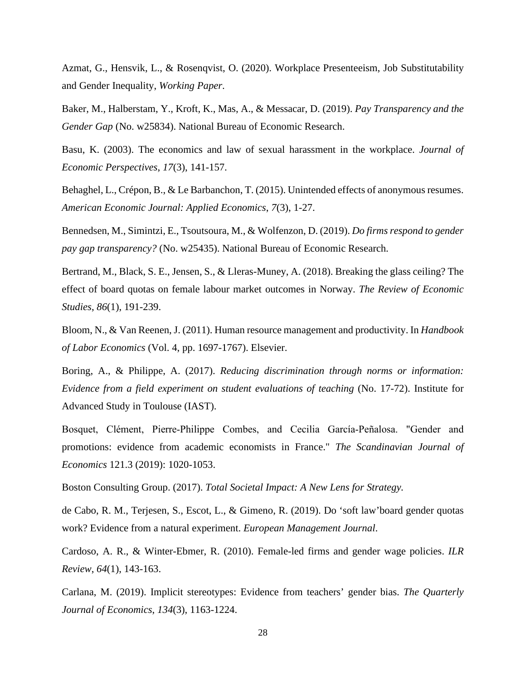Azmat, G., Hensvik, L., & Rosenqvist, O. (2020). Workplace Presenteeism, Job Substitutability and Gender Inequality, *Working Paper*.

Baker, M., Halberstam, Y., Kroft, K., Mas, A., & Messacar, D. (2019). *Pay Transparency and the Gender Gap* (No. w25834). National Bureau of Economic Research.

Basu, K. (2003). The economics and law of sexual harassment in the workplace. *Journal of Economic Perspectives*, *17*(3), 141-157.

Behaghel, L., Crépon, B., & Le Barbanchon, T. (2015). Unintended effects of anonymous resumes. *American Economic Journal: Applied Economics*, *7*(3), 1-27.

Bennedsen, M., Simintzi, E., Tsoutsoura, M., & Wolfenzon, D. (2019). *Do firms respond to gender pay gap transparency?* (No. w25435). National Bureau of Economic Research.

Bertrand, M., Black, S. E., Jensen, S., & Lleras-Muney, A. (2018). Breaking the glass ceiling? The effect of board quotas on female labour market outcomes in Norway. *The Review of Economic Studies*, *86*(1), 191-239.

Bloom, N., & Van Reenen, J. (2011). Human resource management and productivity. In *Handbook of Labor Economics* (Vol. 4, pp. 1697-1767). Elsevier.

Boring, A., & Philippe, A. (2017). *Reducing discrimination through norms or information: Evidence from a field experiment on student evaluations of teaching* (No. 17-72). Institute for Advanced Study in Toulouse (IAST).

Bosquet, Clément, Pierre‐Philippe Combes, and Cecilia García‐Peñalosa. "Gender and promotions: evidence from academic economists in France." *The Scandinavian Journal of Economics* 121.3 (2019): 1020-1053.

Boston Consulting Group. (2017). *Total Societal Impact: A New Lens for Strategy.*

de Cabo, R. M., Terjesen, S., Escot, L., & Gimeno, R. (2019). Do 'soft law'board gender quotas work? Evidence from a natural experiment. *European Management Journal*.

Cardoso, A. R., & Winter-Ebmer, R. (2010). Female-led firms and gender wage policies. *ILR Review*, *64*(1), 143-163.

Carlana, M. (2019). Implicit stereotypes: Evidence from teachers' gender bias. *The Quarterly Journal of Economics*, *134*(3), 1163-1224.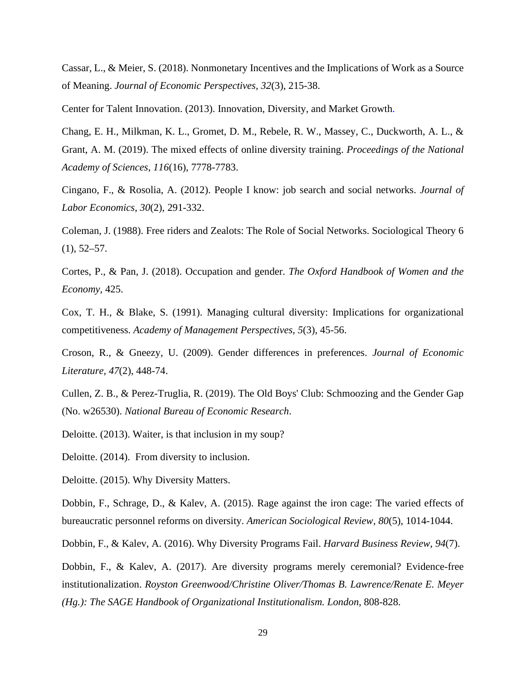Cassar, L., & Meier, S. (2018). Nonmonetary Incentives and the Implications of Work as a Source of Meaning. *Journal of Economic Perspectives*, *32*(3), 215-38.

Center for Talent Innovation. (2013). Innovation, Diversity, and Market Growth.

Chang, E. H., Milkman, K. L., Gromet, D. M., Rebele, R. W., Massey, C., Duckworth, A. L., & Grant, A. M. (2019). The mixed effects of online diversity training. *Proceedings of the National Academy of Sciences*, *116*(16), 7778-7783.

Cingano, F., & Rosolia, A. (2012). People I know: job search and social networks. *Journal of Labor Economics*, *30*(2), 291-332.

Coleman, J. (1988). Free riders and Zealots: The Role of Social Networks. Sociological Theory 6  $(1), 52-57.$ 

Cortes, P., & Pan, J. (2018). Occupation and gender. *The Oxford Handbook of Women and the Economy*, 425.

Cox, T. H., & Blake, S. (1991). Managing cultural diversity: Implications for organizational competitiveness. *Academy of Management Perspectives*, *5*(3), 45-56.

Croson, R., & Gneezy, U. (2009). Gender differences in preferences. *Journal of Economic Literature*, *47*(2), 448-74.

Cullen, Z. B., & Perez-Truglia, R. (2019). The Old Boys' Club: Schmoozing and the Gender Gap (No. w26530). *National Bureau of Economic Research*.

Deloitte. (2013). Waiter, is that inclusion in my soup?

Deloitte. (2014). From diversity to inclusion.

Deloitte. (2015). Why Diversity Matters.

Dobbin, F., Schrage, D., & Kalev, A. (2015). Rage against the iron cage: The varied effects of bureaucratic personnel reforms on diversity. *American Sociological Review*, *80*(5), 1014-1044.

Dobbin, F., & Kalev, A. (2016). Why Diversity Programs Fail. *Harvard Business Review*, *94*(7).

Dobbin, F., & Kalev, A. (2017). Are diversity programs merely ceremonial? Evidence-free institutionalization. *Royston Greenwood/Christine Oliver/Thomas B. Lawrence/Renate E. Meyer (Hg.): The SAGE Handbook of Organizational Institutionalism. London*, 808-828.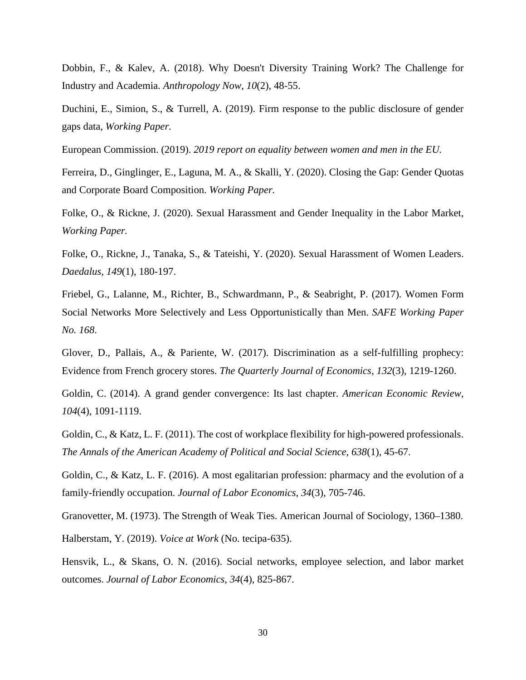Dobbin, F., & Kalev, A. (2018). Why Doesn't Diversity Training Work? The Challenge for Industry and Academia. *Anthropology Now*, *10*(2), 48-55.

Duchini, E., Simion, S., & Turrell, A. (2019). Firm response to the public disclosure of gender gaps data, *Working Paper.* 

European Commission. (2019). *2019 report on equality between women and men in the EU.*

Ferreira, D., Ginglinger, E., Laguna, M. A., & Skalli, Y. (2020). Closing the Gap: Gender Quotas and Corporate Board Composition. *Working Paper.* 

Folke, O., & Rickne, J. (2020). Sexual Harassment and Gender Inequality in the Labor Market, *Working Paper.*

Folke, O., Rickne, J., Tanaka, S., & Tateishi, Y. (2020). Sexual Harassment of Women Leaders. *Daedalus*, *149*(1), 180-197.

Friebel, G., Lalanne, M., Richter, B., Schwardmann, P., & Seabright, P. (2017). Women Form Social Networks More Selectively and Less Opportunistically than Men. *SAFE Working Paper No. 168*.

Glover, D., Pallais, A., & Pariente, W. (2017). Discrimination as a self-fulfilling prophecy: Evidence from French grocery stores. *The Quarterly Journal of Economics*, *132*(3), 1219-1260.

Goldin, C. (2014). A grand gender convergence: Its last chapter. *American Economic Review*, *104*(4), 1091-1119.

Goldin, C., & Katz, L. F. (2011). The cost of workplace flexibility for high-powered professionals. *The Annals of the American Academy of Political and Social Science*, *638*(1), 45-67.

Goldin, C., & Katz, L. F. (2016). A most egalitarian profession: pharmacy and the evolution of a family-friendly occupation. *Journal of Labor Economics*, *34*(3), 705-746.

Granovetter, M. (1973). The Strength of Weak Ties. American Journal of Sociology, 1360–1380.

Halberstam, Y. (2019). *Voice at Work* (No. tecipa-635).

Hensvik, L., & Skans, O. N. (2016). Social networks, employee selection, and labor market outcomes. *Journal of Labor Economics*, *34*(4), 825-867.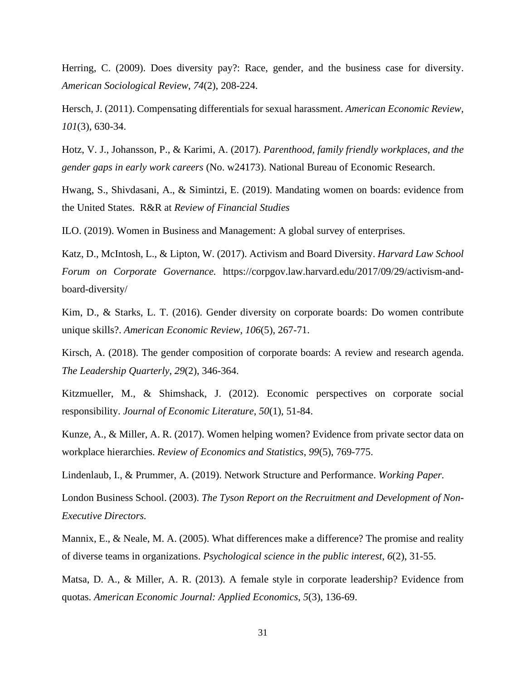Herring, C. (2009). Does diversity pay?: Race, gender, and the business case for diversity. *American Sociological Review*, *74*(2), 208-224.

Hersch, J. (2011). Compensating differentials for sexual harassment. *American Economic Review*, *101*(3), 630-34.

Hotz, V. J., Johansson, P., & Karimi, A. (2017). *Parenthood, family friendly workplaces, and the gender gaps in early work careers* (No. w24173). National Bureau of Economic Research.

Hwang, S., Shivdasani, A., & Simintzi, E. (2019). Mandating women on boards: evidence from the United States. R&R at *Review of Financial Studies*

ILO. (2019). Women in Business and Management: A global survey of enterprises.

Katz, D., McIntosh, L., & Lipton, W. (2017). Activism and Board Diversity. *Harvard Law School Forum on Corporate Governance.* https://corpgov.law.harvard.edu/2017/09/29/activism-andboard-diversity/

Kim, D., & Starks, L. T. (2016). Gender diversity on corporate boards: Do women contribute unique skills?. *American Economic Review*, *106*(5), 267-71.

Kirsch, A. (2018). The gender composition of corporate boards: A review and research agenda. *The Leadership Quarterly*, *29*(2), 346-364.

Kitzmueller, M., & Shimshack, J. (2012). Economic perspectives on corporate social responsibility. *Journal of Economic Literature*, *50*(1), 51-84.

Kunze, A., & Miller, A. R. (2017). Women helping women? Evidence from private sector data on workplace hierarchies. *Review of Economics and Statistics*, *99*(5), 769-775.

Lindenlaub, I., & Prummer, A. (2019). Network Structure and Performance. *Working Paper.*

London Business School. (2003). *The Tyson Report on the Recruitment and Development of Non-Executive Directors.*

Mannix, E., & Neale, M. A. (2005). What differences make a difference? The promise and reality of diverse teams in organizations. *Psychological science in the public interest*, *6*(2), 31-55.

Matsa, D. A., & Miller, A. R. (2013). A female style in corporate leadership? Evidence from quotas. *American Economic Journal: Applied Economics*, *5*(3), 136-69.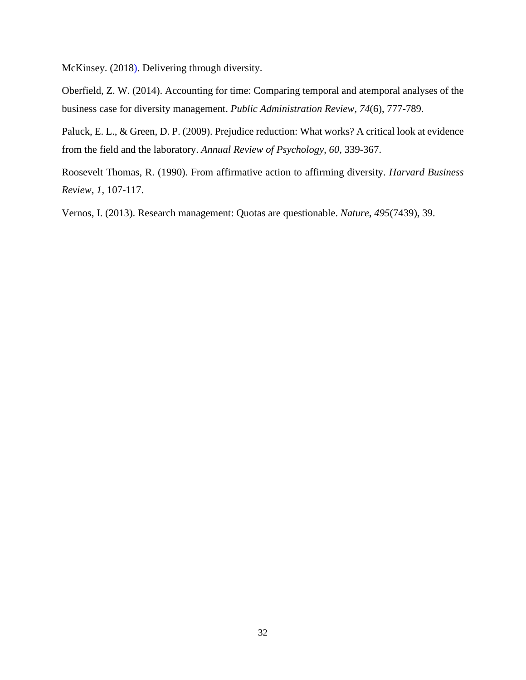McKinsey. (2018). Delivering through diversity.

Oberfield, Z. W. (2014). Accounting for time: Comparing temporal and atemporal analyses of the business case for diversity management. *Public Administration Review*, *74*(6), 777-789.

Paluck, E. L., & Green, D. P. (2009). Prejudice reduction: What works? A critical look at evidence from the field and the laboratory. *Annual Review of Psychology*, *60*, 339-367.

Roosevelt Thomas, R. (1990). From affirmative action to affirming diversity. *Harvard Business Review*, *1*, 107-117.

Vernos, I. (2013). Research management: Quotas are questionable. *Nature*, *495*(7439), 39.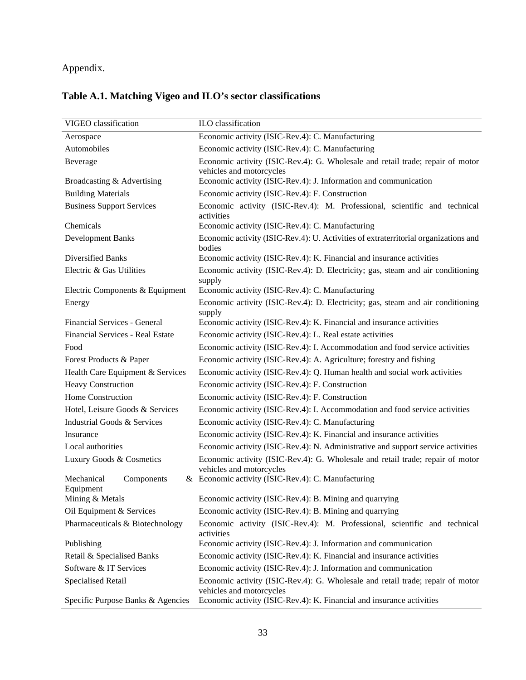### Appendix.

### **Table A.1. Matching Vigeo and ILO's sector classifications**

| VIGEO classification                  | ILO classification                                                                                         |  |  |  |
|---------------------------------------|------------------------------------------------------------------------------------------------------------|--|--|--|
| Aerospace                             | Economic activity (ISIC-Rev.4): C. Manufacturing                                                           |  |  |  |
| Automobiles                           | Economic activity (ISIC-Rev.4): C. Manufacturing                                                           |  |  |  |
| Beverage                              | Economic activity (ISIC-Rev.4): G. Wholesale and retail trade; repair of motor<br>vehicles and motorcycles |  |  |  |
| Broadcasting & Advertising            | Economic activity (ISIC-Rev.4): J. Information and communication                                           |  |  |  |
| <b>Building Materials</b>             | Economic activity (ISIC-Rev.4): F. Construction                                                            |  |  |  |
| <b>Business Support Services</b>      | Economic activity (ISIC-Rev.4): M. Professional, scientific and technical<br>activities                    |  |  |  |
| Chemicals                             | Economic activity (ISIC-Rev.4): C. Manufacturing                                                           |  |  |  |
| <b>Development Banks</b>              | Economic activity (ISIC-Rev.4): U. Activities of extraterritorial organizations and<br>bodies              |  |  |  |
| Diversified Banks                     | Economic activity (ISIC-Rev.4): K. Financial and insurance activities                                      |  |  |  |
| Electric & Gas Utilities              | Economic activity (ISIC-Rev.4): D. Electricity; gas, steam and air conditioning<br>supply                  |  |  |  |
| Electric Components & Equipment       | Economic activity (ISIC-Rev.4): C. Manufacturing                                                           |  |  |  |
| Energy                                | Economic activity (ISIC-Rev.4): D. Electricity; gas, steam and air conditioning<br>supply                  |  |  |  |
| Financial Services - General          | Economic activity (ISIC-Rev.4): K. Financial and insurance activities                                      |  |  |  |
| Financial Services - Real Estate      | Economic activity (ISIC-Rev.4): L. Real estate activities                                                  |  |  |  |
| Food                                  | Economic activity (ISIC-Rev.4): I. Accommodation and food service activities                               |  |  |  |
| Forest Products & Paper               | Economic activity (ISIC-Rev.4): A. Agriculture; forestry and fishing                                       |  |  |  |
| Health Care Equipment & Services      | Economic activity (ISIC-Rev.4): Q. Human health and social work activities                                 |  |  |  |
| <b>Heavy Construction</b>             | Economic activity (ISIC-Rev.4): F. Construction                                                            |  |  |  |
| Home Construction                     | Economic activity (ISIC-Rev.4): F. Construction                                                            |  |  |  |
| Hotel, Leisure Goods & Services       | Economic activity (ISIC-Rev.4): I. Accommodation and food service activities                               |  |  |  |
| Industrial Goods & Services           | Economic activity (ISIC-Rev.4): C. Manufacturing                                                           |  |  |  |
| Insurance                             | Economic activity (ISIC-Rev.4): K. Financial and insurance activities                                      |  |  |  |
| Local authorities                     | Economic activity (ISIC-Rev.4): N. Administrative and support service activities                           |  |  |  |
| Luxury Goods & Cosmetics              | Economic activity (ISIC-Rev.4): G. Wholesale and retail trade; repair of motor<br>vehicles and motorcycles |  |  |  |
| Mechanical<br>Components<br>Equipment | & Economic activity (ISIC-Rev.4): C. Manufacturing                                                         |  |  |  |
| Mining & Metals                       | Economic activity (ISIC-Rev.4): B. Mining and quarrying                                                    |  |  |  |
| Oil Equipment & Services              | Economic activity (ISIC-Rev.4): B. Mining and quarrying                                                    |  |  |  |
| Pharmaceuticals & Biotechnology       | Economic activity (ISIC-Rev.4): M. Professional, scientific and technical<br>activities                    |  |  |  |
| Publishing                            | Economic activity (ISIC-Rev.4): J. Information and communication                                           |  |  |  |
| Retail & Specialised Banks            | Economic activity (ISIC-Rev.4): K. Financial and insurance activities                                      |  |  |  |
| Software & IT Services                | Economic activity (ISIC-Rev.4): J. Information and communication                                           |  |  |  |
| Specialised Retail                    | Economic activity (ISIC-Rev.4): G. Wholesale and retail trade; repair of motor<br>vehicles and motorcycles |  |  |  |
| Specific Purpose Banks & Agencies     | Economic activity (ISIC-Rev.4): K. Financial and insurance activities                                      |  |  |  |